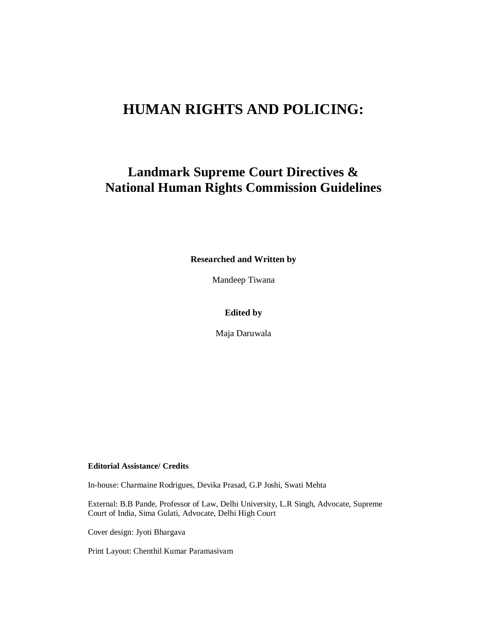# **HUMAN RIGHTS AND POLICING:**

# **Landmark Supreme Court Directives & National Human Rights Commission Guidelines**

**Researched and Written by**

Mandeep Tiwana

#### **Edited by**

Maja Daruwala

#### **Editorial Assistance/ Credits**

In-house: Charmaine Rodrigues, Devika Prasad, G.P Joshi, Swati Mehta

External: B.B Pande, Professor of Law, Delhi University, L.R Singh, Advocate, Supreme Court of India, Sima Gulati, Advocate, Delhi High Court

Cover design: Jyoti Bhargava

Print Layout: Chenthil Kumar Paramasivam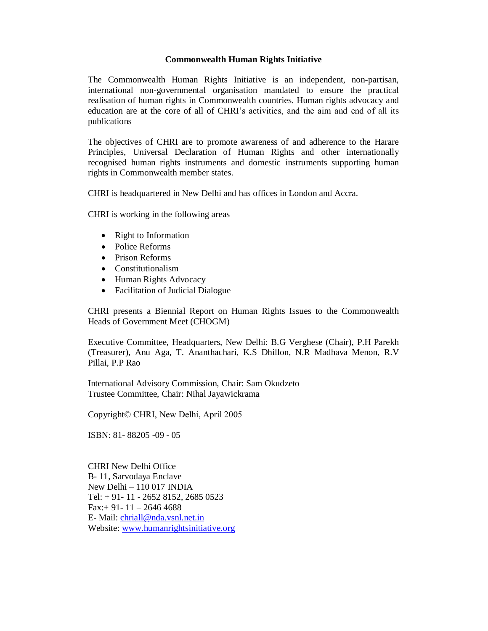#### **Commonwealth Human Rights Initiative**

The Commonwealth Human Rights Initiative is an independent, non-partisan, international non-governmental organisation mandated to ensure the practical realisation of human rights in Commonwealth countries. Human rights advocacy and education are at the core of all of CHRI's activities, and the aim and end of all its publications

The objectives of CHRI are to promote awareness of and adherence to the Harare Principles, Universal Declaration of Human Rights and other internationally recognised human rights instruments and domestic instruments supporting human rights in Commonwealth member states.

CHRI is headquartered in New Delhi and has offices in London and Accra.

CHRI is working in the following areas

- Right to Information
- Police Reforms
- Prison Reforms
- Constitutionalism
- Human Rights Advocacy
- Facilitation of Judicial Dialogue

CHRI presents a Biennial Report on Human Rights Issues to the Commonwealth Heads of Government Meet (CHOGM)

Executive Committee, Headquarters, New Delhi: B.G Verghese (Chair), P.H Parekh (Treasurer), Anu Aga, T. Ananthachari, K.S Dhillon, N.R Madhava Menon, R.V Pillai, P.P Rao

International Advisory Commission, Chair: Sam Okudzeto Trustee Committee, Chair: Nihal Jayawickrama

Copyright© CHRI, New Delhi, April 2005

ISBN: 81- 88205 -09 -05

CHRI New Delhi Office B- 11, Sarvodaya Enclave New Delhi  $-110017$  INDIA Tel: + 91- 11 - 2652 8152, 2685 0523 Fax: + 91 - 11 - 2646 4688 E- Mail: [chriall@nda.vsnl.net.in](mailto:chriall@nda.vsnl.net.in) Website: [www.humanrightsinitiative.org](http://www.humanrightsinitiative.org)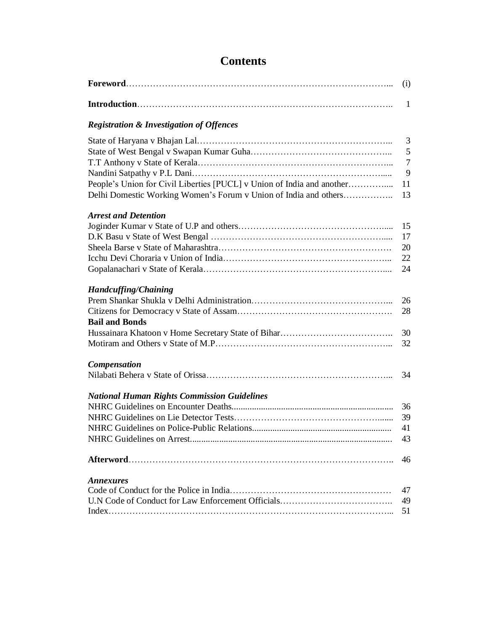# **Contents**

|                                                                                                                                            | (i)                          |
|--------------------------------------------------------------------------------------------------------------------------------------------|------------------------------|
|                                                                                                                                            | 1                            |
| <b>Registration &amp; Investigation of Offences</b>                                                                                        |                              |
| People's Union for Civil Liberties [PUCL] v Union of India and another<br>Delhi Domestic Working Women's Forum v Union of India and others | 3<br>5<br>7<br>9<br>11<br>13 |
| <b>Arrest and Detention</b>                                                                                                                | 15<br>17<br>20<br>22<br>24   |
| <b>Handcuffing/Chaining</b><br><b>Bail and Bonds</b>                                                                                       | 26<br>28<br>30<br>32         |
| <b>Compensation</b>                                                                                                                        | 34                           |
| <b>National Human Rights Commission Guidelines</b>                                                                                         | 36<br>39<br>41<br>43         |
|                                                                                                                                            | 46                           |
| <b>Annexures</b>                                                                                                                           | 47<br>49<br>51               |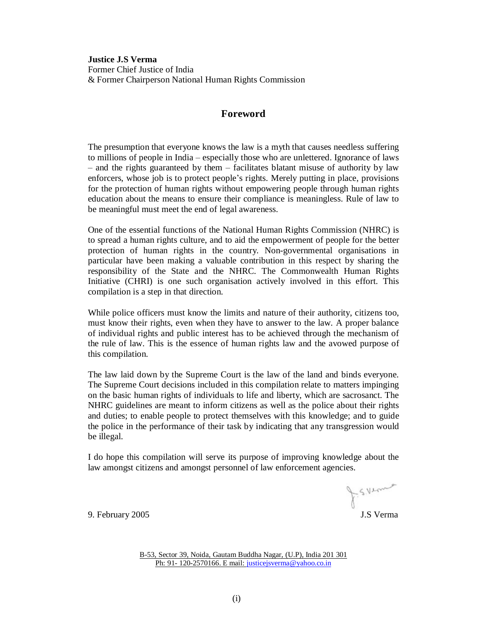**Justice J.S Verma** Former Chief Justice of India & Former Chairperson National Human Rights Commission

#### **Foreword**

The presumption that everyone knows the law is a myth that causes needless suffering to millions of people in India – especially those who are unlettered. Ignorance of laws  $\overline{\phantom{a}}$  and the rights guaranteed by them  $\overline{\phantom{a}}$  facilitates blatant misuse of authority by law enforcers, whose job is to protect people's rights. Merely putting in place, provisions for the protection of human rights without empowering people through human rights education about the means to ensure their compliance is meaningless. Rule of law to be meaningful must meet the end of legal awareness.

One of the essential functions of the National Human Rights Commission (NHRC) is to spread a human rights culture, and to aid the empowerment of people for the better protection of human rights in the country. Non-governmental organisations in particular have been making a valuable contribution in this respect by sharing the responsibility of the State and the NHRC. The Commonwealth Human Rights Initiative (CHRI) is one such organisation actively involved in this effort. This compilation is a step in that direction.

While police officers must know the limits and nature of their authority, citizens too, must know their rights, even when they have to answer to the law. A proper balance of individual rights and public interest has to be achieved through the mechanism of the rule of law. This is the essence of human rights law and the avowed purpose of this compilation.

The law laid down by the Supreme Court is the law of the land and binds everyone. The Supreme Court decisions included in this compilation relate to matters impinging on the basic human rights of individuals to life and liberty, which are sacrosanct. The NHRC guidelines are meant to inform citizens as well as the police about their rights and duties; to enable people to protect themselves with this knowledge; and to guide the police in the performance of their task by indicating that any transgression would be illegal.

I do hope this compilation will serve its purpose of improving knowledge about the law amongst citizens and amongst personnel of law enforcement agencies.

J.S.Verne

9. February 2005 J.S Verma

B-53, Sector 39, Noida, Gautam Buddha Nagar, (U.P), India 201 301 Ph: 91- 120-2570166. E mail: [justicejsverma@yahoo.co.in](mailto:justicejsverma@yahoo.co.in)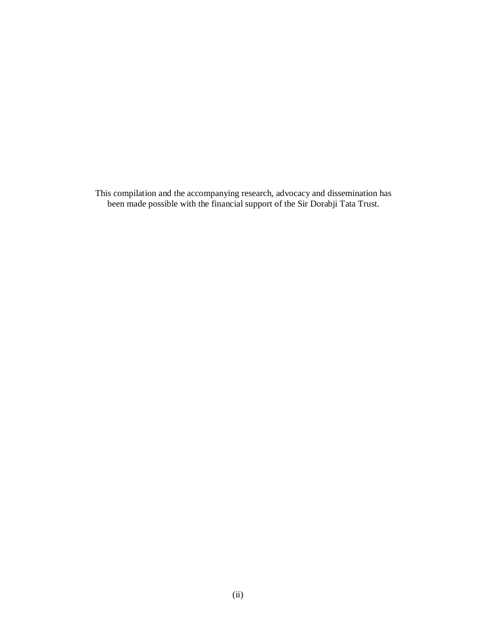This compilation and the accompanying research, advocacy and dissemination has been made possible with the financial support of the Sir Dorabji Tata Trust.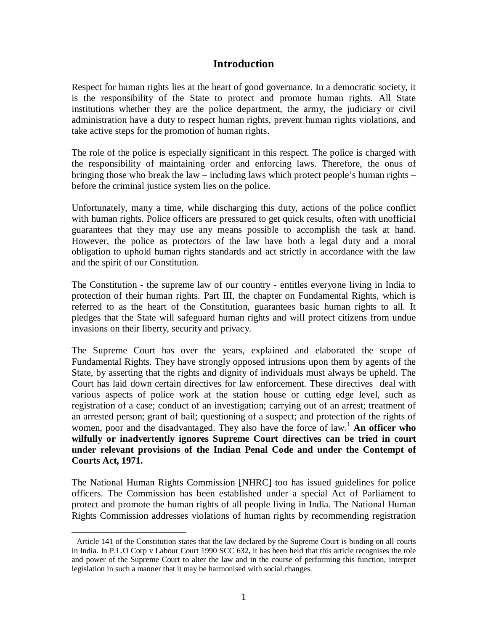## **Introduction**

Respect for human rights lies at the heart of good governance. In a democratic society, it is the responsibility of the State to protect and promote human rights. All State institutions whether they are the police department, the army, the judiciary or civil administration have a duty to respect human rights, prevent human rights violations, and take active steps for the promotion of human rights.

The role of the police is especially significant in this respect. The police is charged with the responsibility of maintaining order and enforcing laws. Therefore, the onus of bringing those who break the law – including laws which protect people's human rights – before the criminal justice system lies on the police.

Unfortunately, many a time, while discharging this duty, actions of the police conflict with human rights. Police officers are pressured to get quick results, often with unofficial guarantees that they may use any means possible to accomplish the task at hand. However, the police as protectors of the law have both a legal duty and a moral obligation to uphold human rights standards and act strictly in accordance with the law and the spirit of our Constitution.

The Constitution - the supreme law of our country - entitles everyone living in India to protection of their human rights. Part III, the chapter on Fundamental Rights, which is referred to as the heart of the Constitution, guarantees basic human rights to all. It pledges that the State will safeguard human rights and will protect citizens from undue invasions on their liberty, security and privacy.

The Supreme Court has over the years, explained and elaborated the scope of Fundamental Rights. They have strongly opposed intrusions upon them by agents of the State, by asserting that the rights and dignity of individuals must always be upheld. The Court has laid down certain directives for law enforcement. These directives deal with various aspects of police work at the station house or cutting edge level, such as registration of a case; conduct of an investigation; carrying out of an arrest; treatment of an arrested person; grant of bail; questioning of a suspect; and protection of the rights of women, poor and the disadvantaged. They also have the force of law.<sup>1</sup> **An officer who wilfully or inadvertently ignores Supreme Court directives can be tried in court under relevant provisions of the Indian Penal Code and under the Contempt of Courts Act, 1971.**

The National Human Rights Commission [NHRC] too has issued guidelines for police officers. The Commission has been established under a special Act of Parliament to protect and promote the human rights of all people living in India. The National Human Rights Commission addresses violations of human rights by recommending registration

<sup>&</sup>lt;sup>1</sup> Article 141 of the Constitution states that the law declared by the Supreme Court is binding on all courts in India. In P.L.O Corp v Labour Court 1990 SCC 632, it has been held that this article recognises the role and power of the Supreme Court to alter the law and in the course of performing this function, interpret legislation in such a manner that it may be harmonised with social changes.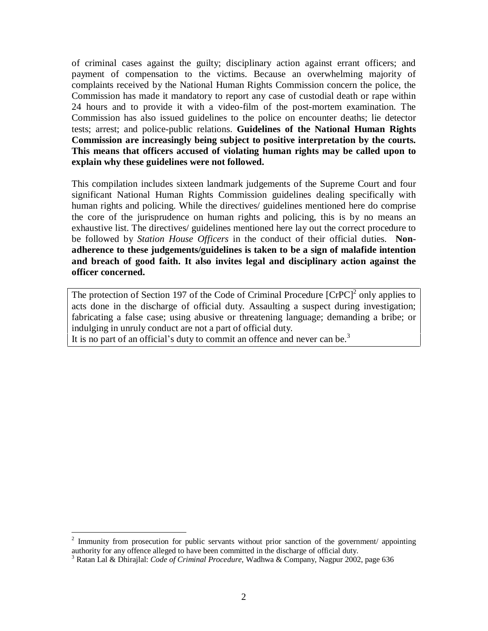of criminal cases against the guilty; disciplinary action against errant officers; and payment of compensation to the victims. Because an overwhelming majority of complaints received by the National Human Rights Commission concern the police, the Commission has made it mandatory to report any case of custodial death or rape within 24 hours and to provide it with a video-film of the post-mortem examination. The Commission has also issued guidelines to the police on encounter deaths; lie detector tests; arrest; and police-public relations. **Guidelines of the National Human Rights Commission are increasingly being subject to positive interpretation by the courts. This means that officers accused of violating human rights may be called upon to explain why these guidelines were not followed.**

This compilation includes sixteen landmark judgements of the Supreme Court and four significant National Human Rights Commission guidelines dealing specifically with human rights and policing. While the directives/ guidelines mentioned here do comprise the core of the jurisprudence on human rights and policing, this is by no means an exhaustive list. The directives/ guidelines mentioned here lay out the correct procedure to be followed by *Station House Officers* in the conduct of their official duties. **Non adherence to these judgements/guidelines is taken to be a sign of malafide intention and breach of good faith. It also invites legal and disciplinary action against the officer concerned.**

The protection of Section 197 of the Code of Criminal Procedure  $[CrPC]^2$  only applies to acts done in the discharge of official duty. Assaulting a suspect during investigation; fabricating a false case; using abusive or threatening language; demanding a bribe; or indulging in unruly conduct are not a part of official duty.

It is no part of an official's duty to commit an offence and never can be.<sup>3</sup>

<sup>&</sup>lt;sup>2</sup> Immunity from prosecution for public servants without prior sanction of the government/ appointing authority for any offence alleged to have been committed in the discharge of official duty. <sup>3</sup> Ratan Lal & Dhirajlal: *Code of Criminal Procedure*, Wadhwa & Company, Nagpur 2002, page <sup>636</sup>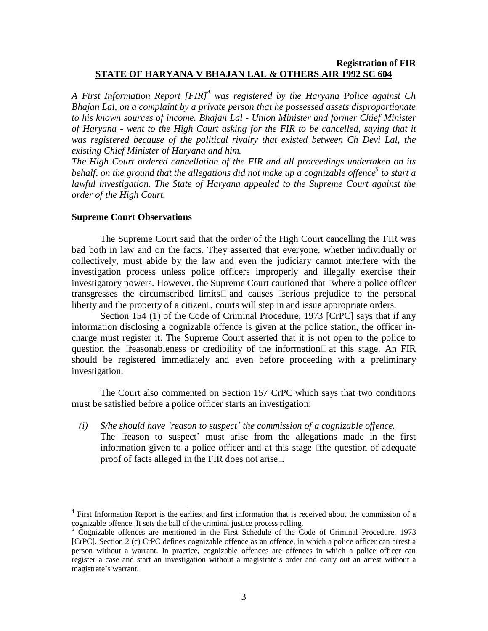## **Registration of FIR STATE OF HARYANA V BHAJAN LAL & OTHERS AIR 1992 SC 604**

*A First Information Report [FIR] 4 was registered by the Haryana Police against Ch Bhajan Lal, on a complaint by a private person that he possessed assets disproportionate to his known sources of income. Bhajan Lal - Union Minister and former Chief Minister of Haryana - went to the High Court asking for the FIR to be cancelled, saying that it was registered because of the political rivalry that existed between Ch Devi Lal, the existing Chief Minister of Haryana and him.*

*The High Court ordered cancellation of the FIR and all proceedings undertaken on its* behalf, on the ground that the allegations did not make up a cognizable offence<sup>5</sup> to start a *lawful investigation. The State of Haryana appealed to the Supreme Court against the order of the High Court.*

#### **Supreme Court Observations**

The Supreme Court said that the order of the High Court cancelling the FIR was bad both in law and on the facts. They asserted that everyone, whether individually or collectively, must abide by the law and even the judiciary cannot interfere with the investigation process unless police officers improperly and illegally exercise their investigatory powers. However, the Supreme Court cautioned that ìwhere a police officer transgresses the circumscribed limitsî and causes ìserious prejudice to the personal liberty and the property of a citizenî, courts will step in and issue appropriate orders.

Section 154 (1) of the Code of Criminal Procedure, 1973 [CrPC] says that if any information disclosing a cognizable offence is given at the police station, the officer in charge must register it. The Supreme Court asserted that it is not open to the police to question the *i* reasonableness or credibility of the information<sup> $\hat{i}$ </sup> at this stage. An FIR should be registered immediately and even before proceeding with a preliminary investigation.

The Court also commented on Section 157 CrPC which says that two conditions must be satisfied before a police officer starts an investigation:

*(i) S/he should have ëreason to suspectí the commission of a cognizable of ence.* The ëreason to suspect' must arise from the allegations made in the first information given to a police officer and at this stage ìthe question of adequate proof of facts alleged in the FIR does not ariseî.

 $4$  First Information Report is the earliest and first information that is received about the commission of a cognizable offence. It sets the ball of the criminal justice process rolling.

Cognizable offences are mentioned in the First Schedule of the Code of Criminal Procedure, 1973 [CrPC]. Section 2 (c) CrPC defines cognizable offence as an offence, in which a police officer can arrest a person without a warrant. In practice, cognizable offences are offences in which a police officer can register a case and start an investigation without a magistrate's order and carry out an arrest without a magistrate's warrant.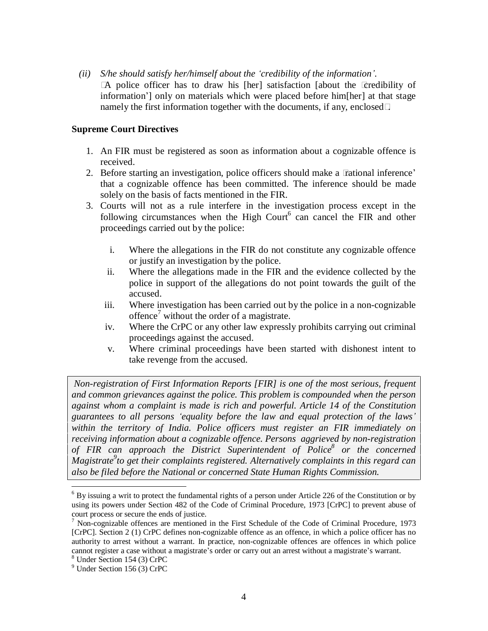*(ii) S/he should satisfy her/himself about the ëcredibility of the informationí.* ìA police officer has to draw his [her] satisfaction [about the ëcredibility of information<sup>'</sup>] only on materials which were placed before him[her] at that stage namely the first information together with the documents, if any, enclosedî.

## **Supreme Court Directives**

- 1. An FIR must be registered as soon as information about a cognizable offence is received.
- 2. Before starting an investigation, police officers should make a  $\ddot{\sigma}$  attional inference<sup>7</sup> that a cognizable offence has been committed. The inference should be made solely on the basis of facts mentioned in the FIR.
- 3. Courts will not as a rule interfere in the investigation process except in the following circumstances when the High Court $6$  can cancel the FIR and other proceedings carried out by the police:
	- i. Where the allegations in the FIR do not constitute any cognizable offence or justify an investigation by the police.
	- ii. Where the allegations made in the FIR and the evidence collected by the police in support of the allegations do not point towards the guilt of the accused.
	- iii. Where investigation has been carried out by the police in a non-cognizable offence<sup>7</sup> without the order of a magistrate.
	- iv. Where the CrPC or any other law expressly prohibits carrying out criminal proceedings against the accused.
	- v. Where criminal proceedings have been started with dishonest intent to take revenge from the accused.

*Non-registration of First Information Reports [FIR] is one of the most serious, frequent and common grievances against the police. This problem is compounded when the person against whom a complaint is made is rich and powerful. Article 14 of the Constitution guarantees to all persons ëequality before the law and equal protection of the lawsí within the territory of India. Police of icers must register an FIR immediately on receiving information about a cognizable of ence. Persons aggrieved by non-registration of FIR can approach the District Superintendent of Police 8 or the concerned Magistrate 9 to get their complaints registered. Alternatively complaints in this regard can also be filed before the National or concerned State Human Rights Commission.*

 $6$  By issuing a writ to protect the fundamental rights of a person under Article 226 of the Constitution or by using its powers under Section 482 of the Code of Criminal Procedure, 1973 [CrPC] to prevent abuse of court process or secure the ends of justice.<br><sup>7</sup> Non-cognizable offences are mentioned in the First Schedule of the Code of Criminal Procedure, 1973

<sup>[</sup>CrPC]. Section 2 (1) CrPC defines non-cognizable offence as an offence, in which a police officer has no authority to arrest without a warrant. In practice, non-cognizable offences are offences in which police cannot register a case without a magistrate's order or carry out an arrest without a magistrate's warrant. <sup>8</sup> Under Section 154 (3) CrPC

<sup>9</sup> Under Section 156 (3) CrPC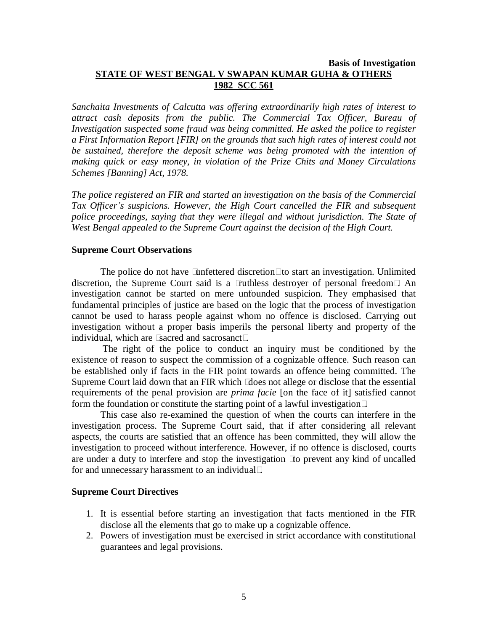## **Basis of Investigation STATE OF WEST BENGAL V SWAPAN KUMAR GUHA & OTHERS 1982 SCC 561**

*Sanchaita Investments of Calcutta was of ering extraordinarily high rates of interest to attract cash deposits from the public. The Commercial Tax Of icer, Bureau of Investigation suspected some fraud was being committed. He asked the police to register a First Information Report [FIR] on the grounds that such high rates of interest could not be sustained, therefore the deposit scheme was being promoted with the intention of making quick or easy money, in violation of the Prize Chits and Money Circulations Schemes [Banning] Act, 1978.*

*The police registered an FIR and started an investigation on the basis of the Commercial Tax Of icerís suspicions. However, the High Court cancelled the FIR and subsequent police proceedings, saying that they were illegal and without jurisdiction. The State of West Bengal appealed to the Supreme Court against the decision of the High Court.*

#### **Supreme Court Observations**

The police do not have lunfettered discretion<sup>†</sup> to start an investigation. Unlimited discretion, the Supreme Court said is a ìruthless destroyer of personal freedomî. An investigation cannot be started on mere unfounded suspicion. They emphasised that fundamental principles of justice are based on the logic that the process of investigation cannot be used to harass people against whom no offence is disclosed. Carrying out investigation without a proper basis imperils the personal liberty and property of the individual, which are *i* sacred and sacrosancti<sup>n</sup>.

The right of the police to conduct an inquiry must be conditioned by the existence of reason to suspect the commission of a cognizable offence. Such reason can be established only if facts in the FIR point towards an offence being committed. The Supreme Court laid down that an FIR which *i* does not allege or disclose that the essential requirements of the penal provision are *prima facie* [on the face of it] satisfied cannot form the foundation or constitute the starting point of a lawful investigationî.

This case also re-examined the question of when the courts can interfere in the investigation process. The Supreme Court said, that if after considering all relevant aspects, the courts are satisfied that an offence has been committed, they will allow the investigation to proceed without interference. However, if no offence is disclosed, courts are under a duty to interfere and stop the investigation ìto prevent any kind of uncalled for and unnecessary harassment to an individualî.

#### **Supreme Court Directives**

- 1. It is essential before starting an investigation that facts mentioned in the FIR disclose all the elements that go to make up a cognizable offence.
- 2. Powers of investigation must be exercised in strict accordance with constitutional guarantees and legal provisions.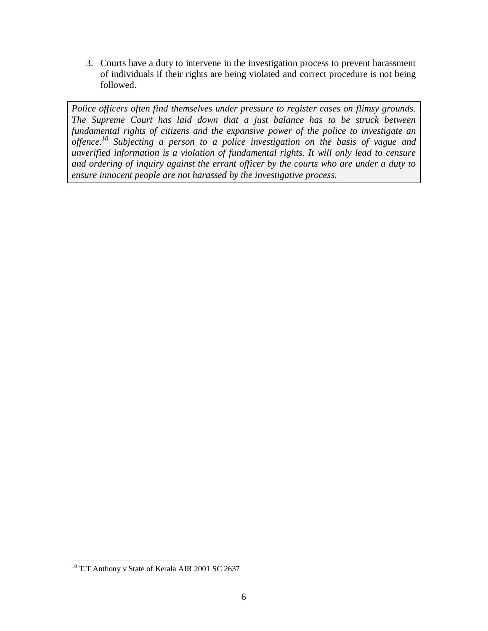3. Courts have a duty to intervene in the investigation process to prevent harassment of individuals if their rights are being violated and correct procedure is not being followed.

*Police of icers often find themselves under pressure to register cases on flimsy grounds. The Supreme Court has laid down that a just balance has to be struck between fundamental rights of citizens and the expansive power of the police to investigate an of ence.<sup>10</sup> Subjecting a person to a police investigation on the basis of vague and unverified information is a violation of fundamental rights. It will only lead to censure and ordering of inquiry against the errant of icer by the courts who are under a duty to ensure innocent people are not harassed by the investigative process.*

<sup>&</sup>lt;sup>10</sup> T.T Anthony v State of Kerala AIR 2001 SC 2637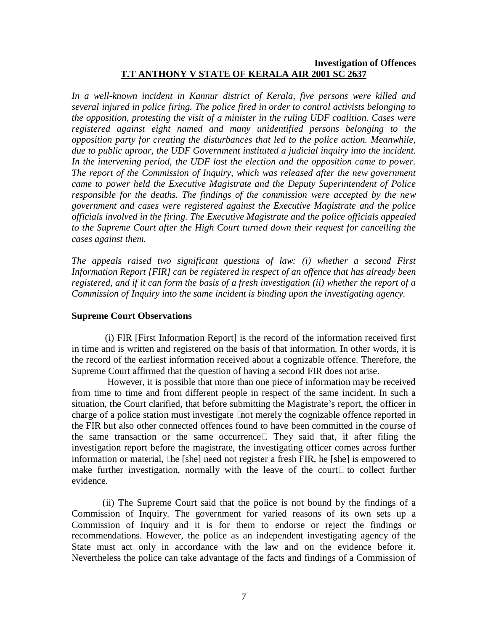## **Investigation of Offences T.T ANTHONY V STATE OF KERALA AIR 2001 SC 2637**

*In a well-known incident in Kannur district of Kerala, five persons were killed and several injured in police firing. The police fired in order to control activists belonging to the opposition, protesting the visit of a minister in the ruling UDF coalition. Cases were registered against eight named and many unidentified persons belonging to the opposition party for creating the disturbances that led to the police action. Meanwhile, due to public uproar, the UDF Government instituted a judicial inquiry into the incident. In the intervening period, the UDF lost the election and the opposition came to power. The report of the Commission of Inquiry, which was released after the new government came to power held the Executive Magistrate and the Deputy Superintendent of Police responsible for the deaths. The findings of the commission were accepted by the new government and cases were registered against the Executive Magistrate and the police of icials involved in the firing. The Executive Magistrate and the police of icials appealed to the Supreme Court after the High Court turned down their request for cancelling the cases against them.*

*The appeals raised two significant questions of law: (i) whether a second First Information Report [FIR] can be registered in respect of an of ence that has already been registered, and if it can form the basis of a fresh investigation (ii) whether the report of a Commission of Inquiry into the same incident is binding upon the investigating agency.*

#### **Supreme Court Observations**

(i) FIR [First Information Report] is the record of the information received first in time and is written and registered on the basis of that information. In other words, it is the record of the earliest information received about a cognizable offence. Therefore, the Supreme Court affirmed that the question of having a second FIR does not arise.

However, it is possible that more than one piece of information may be received from time to time and from different people in respect of the same incident. In such a situation, the Court clarified, that before submitting the Magistrate's report, the officer in charge of a police station must investigate ìnot merely the cognizable offence reported in the FIR but also other connected offences found to have been committed in the course of the same transaction or the same occurrenceî. They said that, if after filing the investigation report before the magistrate, the investigating officer comes across further information or material, ìhe [she] need not register a fresh FIR, he [she] is empowered to make further investigation, normally with the leave of the courtî to collect further evidence.

(ii) The Supreme Court said that the police is not bound by the findings of a Commission of Inquiry. The government for varied reasons of its own sets up a Commission of Inquiry and it is for them to endorse or reject the findings or recommendations. However, the police as an independent investigating agency of the State must act only in accordance with the law and on the evidence before it. Nevertheless the police can take advantage of the facts and findings of a Commission of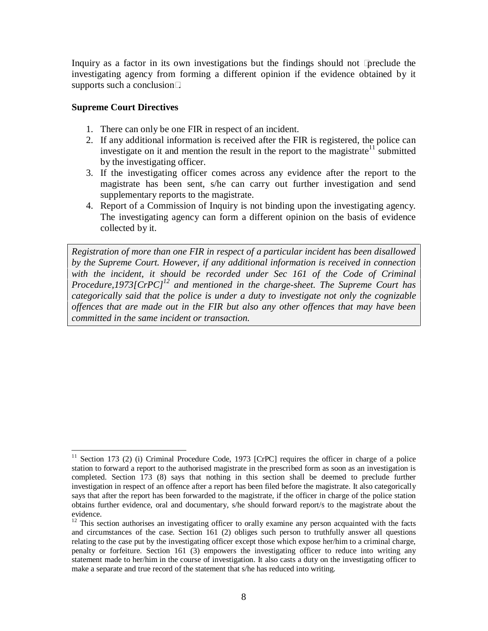Inquiry as a factor in its own investigations but the findings should not ìpreclude the investigating agency from forming a different opinion if the evidence obtained by it supports such a conclusionî.

#### **Supreme Court Directives**

- 1. There can only be one FIR in respect of an incident.
- 2. If any additional information is received after the FIR is registered, the police can investigate on it and mention the result in the report to the magistrate<sup>11</sup> submitted by the investigating officer.
- 3. If the investigating officer comes across any evidence after the report to the magistrate has been sent, s/he can carry out further investigation and send supplementary reports to the magistrate.
- 4. Report of a Commission of Inquiry is not binding upon the investigating agency. The investigating agency can form a different opinion on the basis of evidence collected by it.

*Registration of more than one FIR in respect of a particular incident has been disallowed by the Supreme Court. However, if any additional information is received in connection with the incident, it should be recorded under Sec 161 of the Code of Criminal Procedure,1973[CrPC]*<sup>12</sup> and mentioned in the charge-sheet. The Supreme Court has *categorically said that the police is under a duty to investigate not only the cognizable of ences that are made out in the FIR but also any other of ences that may have been committed in the same incident or transaction.*

 $11$  Section 173 (2) (i) Criminal Procedure Code, 1973 [CrPC] requires the officer in charge of a police station to forward a report to the authorised magistrate in the prescribed form as soon as an investigation is completed. Section 173 (8) says that nothing in this section shall be deemed to preclude further investigation in respect of an offence after a report has been filed before the magistrate. It also categorically says that after the report has been forwarded to the magistrate, if the officer in charge of the police station obtains further evidence, oral and documentary, s/he should forward report/s to the magistrate about the

 $12$  This section authorises an investigating officer to orally examine any person acquainted with the facts and circumstances of the case. Section 161 (2) obliges such person to truthfully answer all questions relating to the case put by the investigating officer except those which expose her/him to a criminal charge, penalty or forfeiture. Section 161 (3) empowers the investigating officer to reduce into writing any statement made to her/him in the course of investigation. It also casts a duty on the investigating officer to make a separate and true record of the statement that s/he has reduced into writing.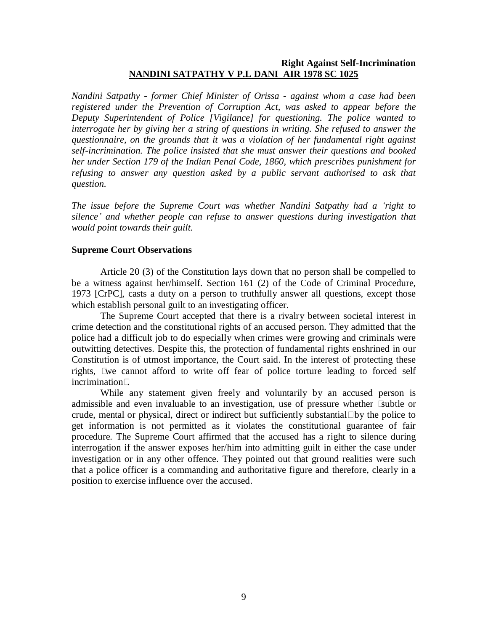## **Right Against Self-Incrimination NANDINI SATPATHY V P.L DANI AIR 1978 SC 1025**

*Nandini Satpathy - former Chief Minister of Orissa - against whom a case had been registered under the Prevention of Corruption Act, was asked to appear before the Deputy Superintendent of Police [Vigilance] for questioning. The police wanted to interrogate her by giving her a string of questions in writing. She refused to answer the questionnaire, on the grounds that it was a violation of her fundamental right against self-incrimination. The police insisted that she must answer their questions and booked her under Section 179 of the Indian Penal Code, 1860, which prescribes punishment for refusing to answer any question asked by a public servant authorised to ask that question.*

*The issue before the Supreme Court was whether Nandini Satpathy had a ëright to silenceí and whether people can refuse to answer questions during investigation that would point towards their guilt.*

#### **Supreme Court Observations**

Article 20 (3) of the Constitution lays down that no person shall be compelled to be a witness against her/himself. Section 161 (2) of the Code of Criminal Procedure, 1973 [CrPC], casts a duty on a person to truthfully answer all questions, except those which establish personal guilt to an investigating officer.

The Supreme Court accepted that there is a rivalry between societal interest in crime detection and the constitutional rights of an accused person. They admitted that the police had a difficult job to do especially when crimes were growing and criminals were outwitting detectives. Despite this, the protection of fundamental rights enshrined in our Constitution is of utmost importance, the Court said. In the interest of protecting these rights, ìwe cannot afford to write off fear of police torture leading to forced self incriminationî.

While any statement given freely and voluntarily by an accused person is admissible and even invaluable to an investigation, use of pressure whether ìsubtle or crude, mental or physical, direct or indirect but sufficiently substantial  $\hat{b}$  by the police to get information is not permitted as it violates the constitutional guarantee of fair procedure. The Supreme Court affirmed that the accused has a right to silence during interrogation if the answer exposes her/him into admitting guilt in either the case under investigation or in any other offence. They pointed out that ground realities were such that a police officer is a commanding and authoritative figure and therefore, clearly in a position to exercise influence over the accused.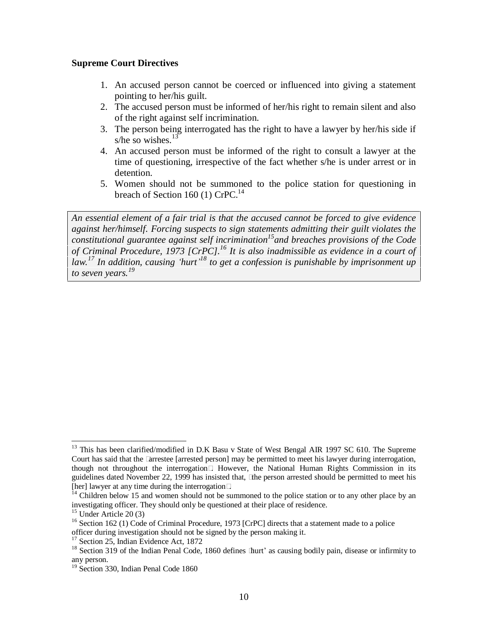#### **Supreme Court Directives**

- 1. An accused person cannot be coerced or influenced into giving a statement pointing to her/his guilt.
- 2. The accused person must be informed of her/his right to remain silent and also of the right against self incrimination.
- 3. The person being interrogated has the right to have a lawyer by her/his side if s/he so wishes. $13$
- 4. An accused person must be informed of the right to consult a lawyer at the time of questioning, irrespective of the fact whether s/he is under arrest or in detention.
- 5. Women should not be summoned to the police station for questioning in breach of Section 160 (1)  $CrPC<sup>14</sup>$ .

*An essential element of a fair trial is that the accused cannot be forced to give evidence against her/himself. Forcing suspects to sign statements admitting their guilt violates the constitutional guarantee against self incrimination 15 and breaches provisions of the Code of Criminal Procedure, 1973 [CrPC].<sup>16</sup> It is also inadmissible as evidence in a court of law.<sup>17</sup> In addition, causing ëhurtí 18 to get a confession is punishable by imprisonment up to seven years.<sup>19</sup>*

<sup>&</sup>lt;sup>13</sup> This has been clarified/modified in D.K Basu v State of West Bengal AIR 1997 SC 610. The Supreme Court has said that the ìarrestee [arrested person] may be permitted to meet his lawyer during interrogation, though not throughout the interrogationî. However, the National Human Rights Commission in its guidelines dated November 22, 1999 has insisted that, ì the person arrested should be permitted to meet his [her] lawyer at any time during the interrogation î.

 $\frac{14}{4}$  Children below 15 and women should not be summoned to the police station or to any other place by an investigating officer. They should only be questioned at their place of residence. <sup>15</sup> Under Article 20 (3)

<sup>&</sup>lt;sup>16</sup> Section 162 (1) Code of Criminal Procedure, 1973 [CrPC] directs that a statement made to a police officer during investigation should not be signed by the person making it. <sup>17</sup> Section 25, Indian Evidence Act, <sup>1872</sup>

 $18$  Section 319 of the Indian Penal Code, 1860 defines  $\frac{d}{dt}$  as causing bodily pain, disease or infirmity to any person.<br><sup>19</sup> Section 330, Indian Penal Code 1860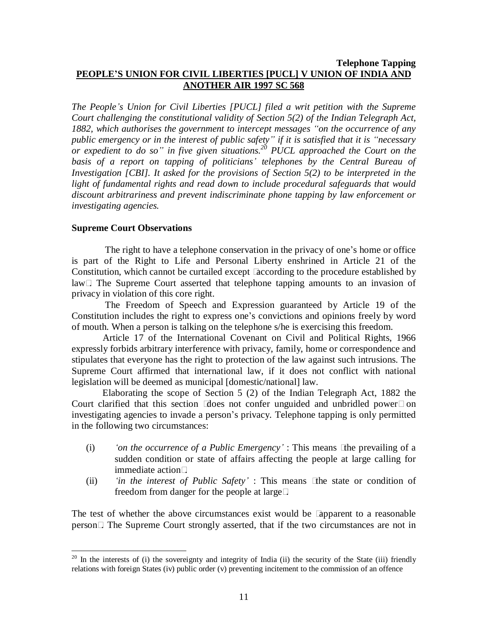## **Telephone Tapping PEOPLEíS UNION FOR CIVIL LIBERTIES [PUCL] V UNION OF INDIA AND ANOTHER AIR 1997 SC 568**

*The Peopleís Union for Civil Liberties [PUCL] filed a writ petition with the Supreme Court challenging the constitutional validity of Section 5(2) of the Indian Telegraph Act, 1882, which authorises the government to intercept messages ìon the occurrence of any public emergency or in the interest of public safetyî ifit is satisfied that it is ìnecessary or expedient to do soî in five given situations.<sup>20</sup> PUCL approached the Court on the basis of a report on tapping of politiciansí telephones by the Central Bureau of Investigation [CBI]. It asked for the provisions of Section 5(2) to be interpreted in the light of fundamental rights and read down to include procedural safeguards that would discount arbitrariness and prevent indiscriminate phone tapping by law enforcement or investigating agencies.*

## **Supreme Court Observations**

The right to have a telephone conservation in the privacy of one's home or office is part of the Right to Life and Personal Liberty enshrined in Article 21 of the Constitution, which cannot be curtailed except ìaccording to the procedure established by lawî. The Supreme Court asserted that telephone tapping amounts to an invasion of privacy in violation of this core right.

The Freedom of Speech and Expression guaranteed by Article 19 of the Constitution includes the right to express one's convictions and opinions freely by word of mouth. When a person is talking on the telephone s/he is exercising this freedom.

Article 17 of the International Covenant on Civil and Political Rights, 1966 expressly forbids arbitrary interference with privacy, family, home or correspondence and stipulates that everyone has the right to protection of the law against such intrusions. The Supreme Court affirmed that international law, if it does not conflict with national legislation will be deemed as municipal [domestic/national] law.

Elaborating the scope of Section 5 (2) of the Indian Telegraph Act, 1882 the Court clarified that this section idoes not confer unguided and unbridled power  $\hat{p}$  on investigating agencies to invade a person's privacy. Telephone tapping is only permitted in the following two circumstances:

- (i) *ëon the occurrence of a Public Emergencyí* : This means ìthe prevailing of a sudden condition or state of affairs affecting the people at large calling for immediate actionî.
- (ii) *ëin the interest of Public Safetyí* : This means ìthe state or condition of freedom from danger for the people at largeî.

The test of whether the above circumstances exist would be ìapparent to a reasonable personî. The Supreme Court strongly asserted, that if the two circumstances are not in

 $20$  In the interests of (i) the sovereignty and integrity of India (ii) the security of the State (iii) friendly relations with foreign States (iv) public order (v) preventing incitement to the commission of an offence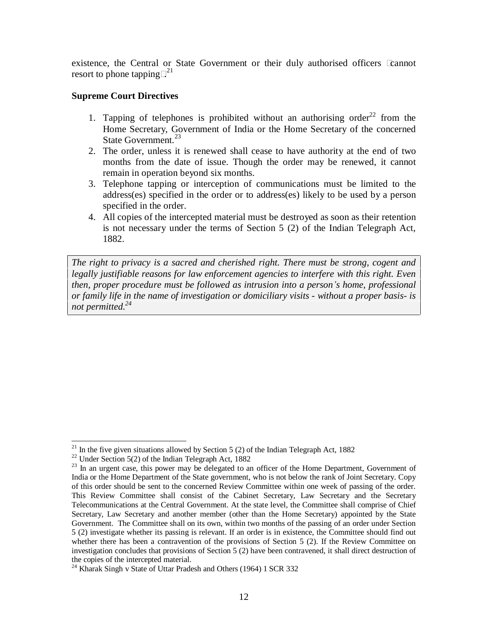existence, the Central or State Government or their duly authorised officers ìcannot resort to phone tapping  $2^{21}$ 

## **Supreme Court Directives**

- 1. Tapping of telephones is prohibited without an authorising order<sup>22</sup> from the Home Secretary, Government of India or the Home Secretary of the concerned State Government.<sup>23</sup>
- 2. The order, unless it is renewed shall cease to have authority at the end of two months from the date of issue. Though the order may be renewed, it cannot remain in operation beyond six months.
- 3. Telephone tapping or interception of communications must be limited to the address(es) specified in the order or to address(es) likely to be used by a person specified in the order.
- 4. All copies of the intercepted material must be destroyed as soon as their retention is not necessary under the terms of Section 5 (2) of the Indian Telegraph Act, 1882.

*The right to privacy is a sacred and cherished right. There must be strong, cogent and legally justifiable reasons for law enforcement agencies to interfere with this right. Even then, proper procedure must be followed as intrusion into a personís home, professional or family life in the name of investigation or domiciliary visits - without a proper basis- is not permitted.<sup>24</sup>*

<sup>&</sup>lt;sup>21</sup> In the five given situations allowed by Section 5 (2) of the Indian Telegraph Act, 1882

 $22$  Under Section 5(2) of the Indian Telegraph Act, 1882

 $23$  In an urgent case, this power may be delegated to an officer of the Home Department, Government of India or the Home Department of the State government, who is not below the rank of Joint Secretary. Copy of this order should be sent to the concerned Review Committee within one week of passing of the order. This Review Committee shall consist of the Cabinet Secretary, Law Secretary and the Secretary Telecommunications at the Central Government. At the state level, the Committee shall comprise of Chief Secretary, Law Secretary and another member (other than the Home Secretary) appointed by the State Government. The Committee shall on its own, within two months of the passing of an order under Section 5 (2) investigate whether its passing is relevant. If an order is in existence, the Committee should find out whether there has been a contravention of the provisions of Section 5 (2). If the Review Committee on investigation concludes that provisions of Section 5 (2) have been contravened, it shall direct destruction of

 $t^{24}$  Kharak Singh v State of Uttar Pradesh and Others (1964) 1 SCR 332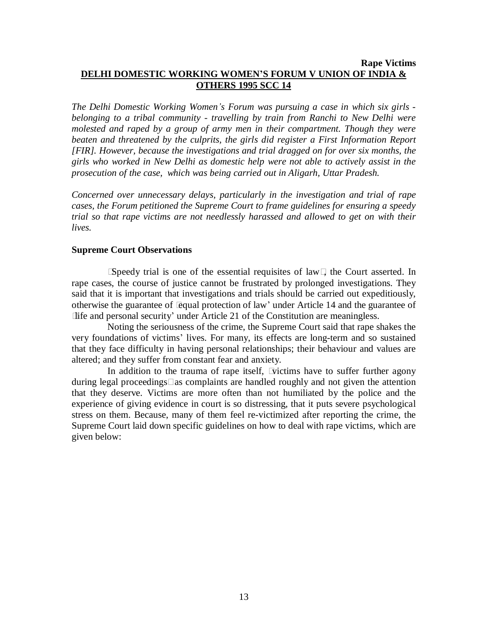## **Rape Victims DELHI DOMESTIC WORKING WOMENíS FORUM V UNION OF INDIA & OTHERS 1995 SCC 14**

*The Delhi Domestic Working Womenís Forum was pursuing a case in which six girls belonging to a tribal community - travelling by train from Ranchi to New Delhi were molested and raped by a group of army men in their compartment. Though they were beaten and threatened by the culprits, the girls did register a First Information Report [FIR]. However, because the investigations and trial dragged on for over six months, the girls who worked in New Delhi as domestic help were not able to actively assist in the prosecution of the case, which was being carried out in Aligarh, Uttar Pradesh.*

*Concerned over unnecessary delays, particularly in the investigation and trial of rape cases, the Forum petitioned the Supreme Court to frame guidelines for ensuring a speedy trial so that rape victims are not needlessly harassed and allowed to get on with their lives.*

#### **Supreme Court Observations**

ìSpeedy trial is one of the essential requisites of lawî, the Court asserted. In rape cases, the course of justice cannot be frustrated by prolonged investigations. They said that it is important that investigations and trials should be carried out expeditiously, otherwise the guarantee of  $\ddot{\mathbf{e}}$  equal protection of law' under Article 14 and the guarantee of ëlife and personal securityí under Article 21 of the Constitution are meaningless.

Noting the seriousness of the crime, the Supreme Court said that rape shakes the very foundations of victims' lives. For many, its effects are long-term and so sustained that they face difficulty in having personal relationships; their behaviour and values are altered; and they suffer from constant fear and anxiety.

In addition to the trauma of rape itself, ìvictims have to suffer further agony during legal proceedings<sup> $\hat{\mathbf{s}}$ </sup> as complaints are handled roughly and not given the attention that they deserve. Victims are more often than not humiliated by the police and the experience of giving evidence in court is so distressing, that it puts severe psychological stress on them. Because, many of them feel re-victimized after reporting the crime, the Supreme Court laid down specific guidelines on how to deal with rape victims, which are given below: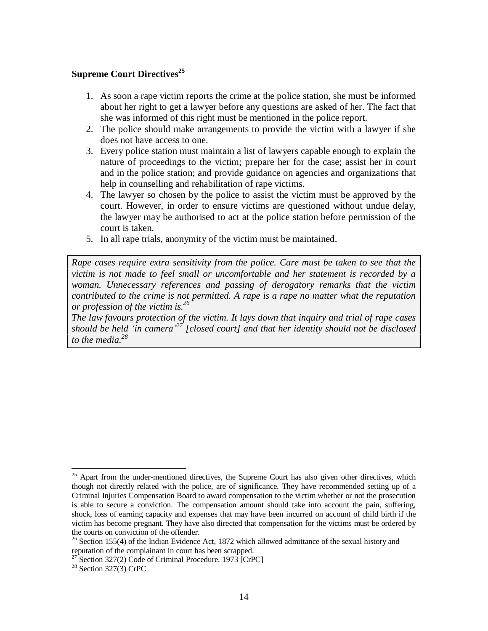## **Supreme Court Directives 25**

- 1. As soon a rape victim reports the crime at the police station, she must be informed about her right to get a lawyer before any questions are asked of her. The fact that she was informed of this right must be mentioned in the police report.
- 2. The police should make arrangements to provide the victim with a lawyer if she does not have access to one.
- 3. Every police station must maintain a list of lawyers capable enough to explain the nature of proceedings to the victim; prepare her for the case; assist her in court and in the police station; and provide guidance on agencies and organizations that help in counselling and rehabilitation of rape victims.
- 4. The lawyer so chosen by the police to assist the victim must be approved by the court. However, in order to ensure victims are questioned without undue delay, the lawyer may be authorised to act at the police station before permission of the court is taken.
- 5. In all rape trials, anonymity of the victim must be maintained.

*Rape cases require extra sensitivity from the police. Care must be taken to see that the victim isnot made to feel small or uncomfortable and her statement is recorded by a woman. Unnecessary references and passing of derogatory remarks that the victim contributed to the crime is not permitted. A rape is a rape no matter what the reputation or profession of the victim is.<sup>26</sup>*

*The law favours protection of the victim. It lays down that inquiry and trial of rape cases should be held ëin cameraí <sup>27</sup> [closed court] and that her identity should not be disclosed to the media.<sup>28</sup>*

<sup>&</sup>lt;sup>25</sup> Apart from the under-mentioned directives, the Supreme Court has also given other directives, which though not directly related with the police, are of significance. They have recommended setting up of a Criminal Injuries Compensation Board to award compensation to the victim whether or not the prosecution is able to secure a conviction. The compensation amount should take into account the pain, suffering, shock, loss of earning capacity and expenses that may have been incurred on account of child birth if the victim has become pregnant. They have also directed that compensation for the victims must be ordered by

the courts on conviction of the offender.<br><sup>26</sup> Section 155(4) of the Indian Evidence Act, 1872 which allowed admittance of the sexual history and reputation of the complainant in court has been scrapped.

reputation of the complainant in court has been scrapped.<br><sup>27</sup> Section 327(2) Code of Criminal Procedure, 1973 [CrPC]

 $28$  Section 327(3) CrPC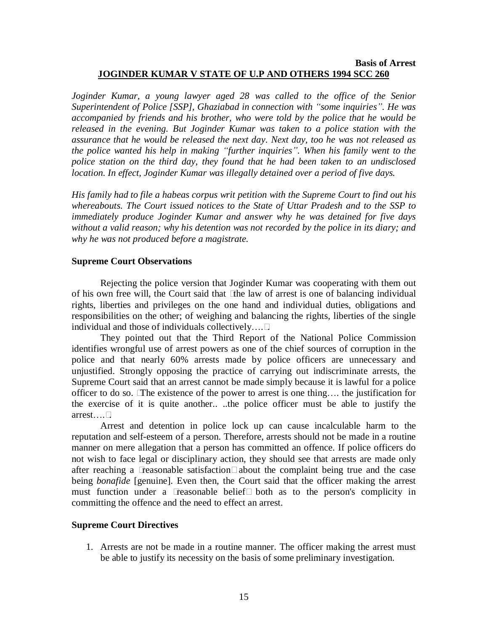### **Basis of Arrest JOGINDER KUMAR V STATE OF U.P AND OTHERS 1994 SCC 260**

*Joginder Kumar, a young lawyer aged 28 was called to the of ice of the Senior Superintendent of Police [SSP], Ghaziabad in connection with ìsome inquiriesî. He was accompanied by friends and his brother, who were told by the police that he would be released in the evening. But Joginder Kumar was taken to a police station with the assurance that he would be released the next day. Next day, too he was not released as the police wanted his help in making ìfurther inquiriesî. When his family went to the police station on the third day, they found that he had been taken to an undisclosed location. In ef ect, Joginder Kumar was illegally detained over a period of five days.*

*His family had to file a habeas corpus writ petition with the Supreme Court to find out his whereabouts. The Court issued notices to the State of Uttar Pradesh and to the SSP to immediately produce Joginder Kumar and answer why he was detained for five days without a valid reason; why his detention was not recorded by the police in its diary; and why he was not produced before a magistrate.*

#### **Supreme Court Observations**

Rejecting the police version that Joginder Kumar was cooperating with them out of his own free will, the Court said that ìthe law of arrest is one of balancing individual rights, liberties and privileges on the one hand and individual duties, obligations and responsibilities on the other; of weighing and balancing the rights, liberties of the single individual and those of individuals collectively $\dots$ .

They pointed out that the Third Report of the National Police Commission identifies wrongful use of arrest powers as one of the chief sources of corruption in the police and that nearly 60% arrests made by police officers are unnecessary and unjustified. Strongly opposing the practice of carrying out indiscriminate arrests, the Supreme Court said that an arrest cannot be made simply because it is lawful for a police officer to do so.  $i$ The existence of the power to arrest is one thing.... the justification for the exercise of it is quite another.. ..the police officer must be able to justify the  $arrest$ ... $\hat{I}$ .

Arrest and detention in police lock up can cause incalculable harm to the reputation and self-esteem of a person. Therefore, arrests should not be made in a routine manner on mere allegation that a person has committed an offence. If police officers do not wish to face legal or disciplinary action, they should see that arrests are made only after reaching a ìreasonable satisfactionîabout the complaint being true and the case being *bonafide* [genuine]. Even then, the Court said that the officer making the arrest must function under a ìreasonable beliefî both as to the person's complicity in committing the offence and the need to effect an arrest.

## **Supreme Court Directives**

1. Arrests are not be made in a routine manner. The officer making the arrest must be able to justify its necessity on the basis of some preliminary investigation.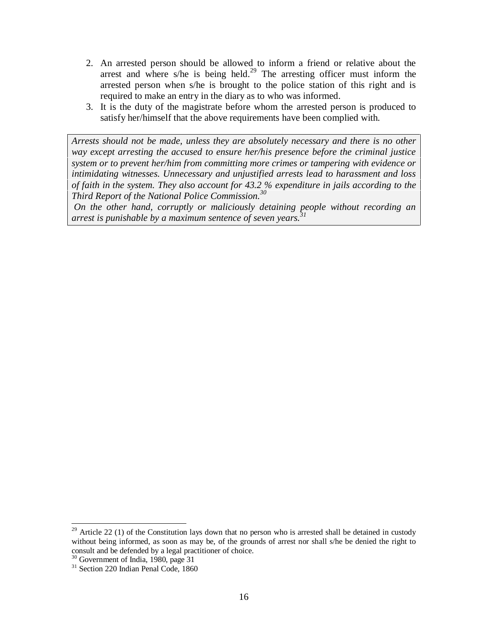- 2. An arrested person should be allowed to inform a friend or relative about the arrest and where s/he is being held.<sup>29</sup> The arresting officer must inform the arrested person when s/he is brought to the police station of this right and is required to make an entry in the diary as to who was informed.
- 3. It is the duty of the magistrate before whom the arrested person is produced to satisfy her/himself that the above requirements have been complied with.

*Arrests should not be made, unless they are absolutely necessary and there is no other way except arresting the accused to ensure her/his presence before the criminal justice system or to prevent her/him from committing more crimes or tampering with evidence or intimidating witnesses. Unnecessary and unjustified arrests lead to harassment and loss of faith in the system. They also account for 43.2 % expenditure in jails according to the Third Report of the National Police Commission.<sup>30</sup>*

*On the other hand, corruptly or maliciously detaining people without recording an arrest is punishable by a maximum sentence of seven years.<sup>31</sup>*

 $29$  Article 22 (1) of the Constitution lays down that no person who is arrested shall be detained in custody without being informed, as soon as may be, of the grounds of arrest nor shall s/he be denied the right to consult and be defended by <sup>a</sup> legal practitioner of choice. <sup>30</sup> Government of India, 1980, page <sup>31</sup>

<sup>&</sup>lt;sup>31</sup> Section 220 Indian Penal Code, 1860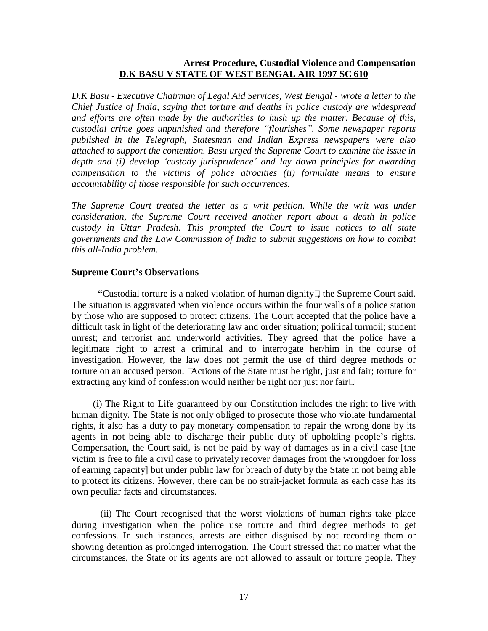### **Arrest Procedure, Custodial Violence and Compensation D.K BASU V STATE OF WEST BENGAL AIR 1997 SC 610**

*D.K Basu - Executive Chairman of Legal Aid Services, West Bengal - wrote a letter to the Chief Justice of India, saying that torture and deaths in police custody are widespread and ef orts are often made by the authorities to hush up the matter. Because of this, custodial crime goes unpunished and therefore ìflourishesî. Some newspaper reports published in the Telegraph, Statesman and Indian Express newspapers were also attached to support the contention. Basu urged the Supreme Court to examine the issue in depth and (i) develop ëcustody jurisprudenceí and lay down principles for awarding compensation to the victims of police atrocities (ii) formulate means to ensure accountability of those responsible for such occurrences.*

*The Supreme Court treated the letter as a writ petition. While the writ was under consideration, the Supreme Court received another report about a death in police custody in Uttar Pradesh. This prompted the Court to issue notices to all state governments and the Law Commission of India to submit suggestions on how to combat this all-India problem.*

#### **Supreme Courtís Observations**

**ì**Custodial torture is a naked violation of human dignityî, the Supreme Court said. The situation is aggravated when violence occurs within the four walls of a police station by those who are supposed to protect citizens. The Court accepted that the police have a difficult task in light of the deteriorating law and order situation; political turmoil; student unrest; and terrorist and underworld activities. They agreed that the police have a legitimate right to arrest a criminal and to interrogate her/him in the course of investigation. However, the law does not permit the use of third degree methods or torture on an accused person. I Actions of the State must be right, just and fair; torture for extracting any kind of confession would neither be right nor just nor fairî.

(i) The Right to Life guaranteed by our Constitution includes the right to live with human dignity. The State is not only obliged to prosecute those who violate fundamental rights, it also has a duty to pay monetary compensation to repair the wrong done by its agents in not being able to discharge their public duty of upholding people's rights. Compensation, the Court said, is not be paid by way of damages as in a civil case [the victim is free to file a civil case to privately recover damages from the wrongdoer for loss of earning capacity] but under public law for breach of duty by the State in not being able to protect its citizens. However, there can be no strait-jacket formula as each case has its own peculiar facts and circumstances.

(ii) The Court recognised that the worst violations of human rights take place during investigation when the police use torture and third degree methods to get confessions. In such instances, arrests are either disguised by not recording them or showing detention as prolonged interrogation. The Court stressed that no matter what the circumstances, the State or its agents are not allowed to assault or torture people. They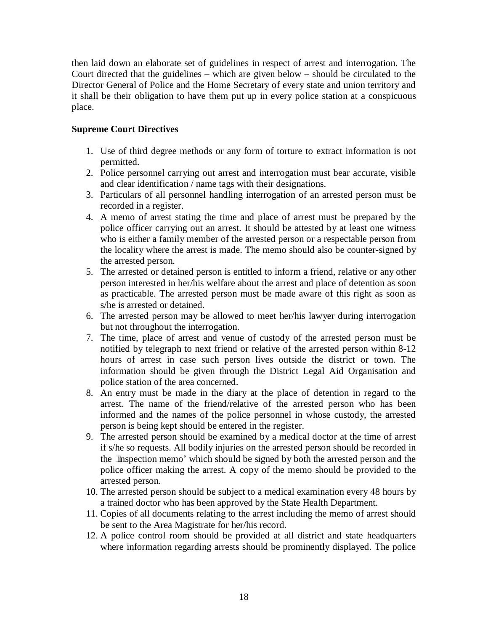then laid down an elaborate set of guidelines in respect of arrest and interrogation. The Court directed that the guidelines  $-$  which are given below  $-$  should be circulated to the Director General of Police and the Home Secretary of every state and union territory and it shall be their obligation to have them put up in every police station at a conspicuous place.

## **Supreme Court Directives**

- 1. Use of third degree methods or any form of torture to extract information is not permitted.
- 2. Police personnel carrying out arrest and interrogation must bear accurate, visible and clear identification / name tags with their designations.
- 3. Particulars of all personnel handling interrogation of an arrested person must be recorded in a register.
- 4. A memo of arrest stating the time and place of arrest must be prepared by the police officer carrying out an arrest. It should be attested by at least one witness who is either a family member of the arrested person or a respectable person from the locality where the arrest is made. The memo should also be counter-signed by the arrested person.
- 5. The arrested or detained person is entitled to inform a friend, relative or any other person interested in her/his welfare about the arrest and place of detention as soon as practicable. The arrested person must be made aware of this right as soon as s/he is arrested or detained.
- 6. The arrested person may be allowed to meet her/his lawyer during interrogation but not throughout the interrogation.
- 7. The time, place of arrest and venue of custody of the arrested person must be notified by telegraph to next friend or relative of the arrested person within 8-12 hours of arrest in case such person lives outside the district or town. The information should be given through the District Legal Aid Organisation and police station of the area concerned.
- 8. An entry must be made in the diary at the place of detention in regard to the arrest. The name of the friend/relative of the arrested person who has been informed and the names of the police personnel in whose custody, the arrested person is being kept should be entered in the register.
- 9. The arrested person should be examined by a medical doctor at the time of arrest if s/he so requests. All bodily injuries on the arrested person should be recorded in the **ënspection memo**' which should be signed by both the arrested person and the police officer making the arrest. A copy of the memo should be provided to the arrested person.
- 10. The arrested person should be subject to a medical examination every 48 hours by a trained doctor who has been approved by the State Health Department.
- 11. Copies of all documents relating to the arrest including the memo of arrest should be sent to the Area Magistrate for her/his record.
- 12. A police control room should be provided at all district and state headquarters where information regarding arrests should be prominently displayed. The police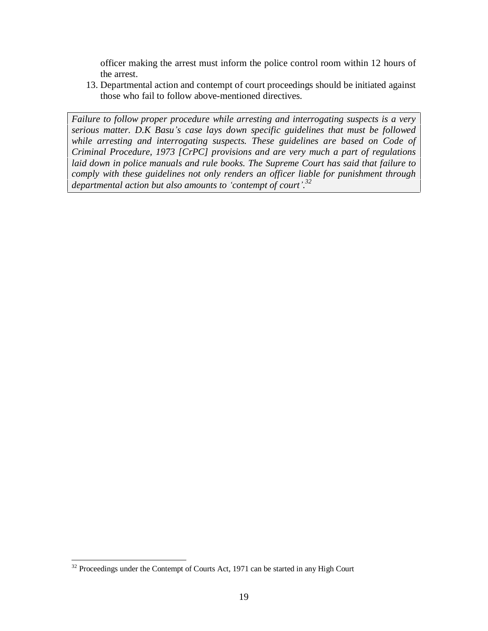officer making the arrest must inform the police control room within 12 hours of the arrest.

13. Departmental action and contempt of court proceedings should be initiated against those who fail to follow above-mentioned directives.

*Failure to follow proper procedure while arresting and interrogating suspects is a very serious matter. D.K Basuís case lays down specific guidelines that must be followed while arresting and interrogating suspects. These guidelines are based on Code of Criminal Procedure, 1973 [CrPC] provisions and are very much a part of regulations laid down in police manuals and rule books. The Supreme Court has said that failure to comply with these guidelines not only renders an of icer liable for punishment through departmental action but also amounts to ëcontempt of courtí.<sup>32</sup>*

<sup>&</sup>lt;sup>32</sup> Proceedings under the Contempt of Courts Act, 1971 can be started in any High Court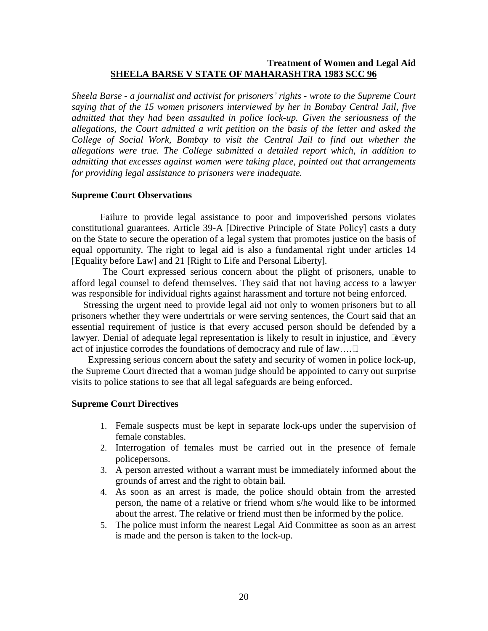## **Treatment of Women and Legal Aid SHEELA BARSE V STATE OF MAHARASHTRA 1983 SCC 96**

*Sheela Barse - a journalist and activist for prisonersí rights - wrote to the Supreme Court saying that of the 15 women prisoners interviewed by her in Bombay Central Jail, five admitted that they had been assaulted in police lock-up. Given the seriousness of the allegations, the Court admitted a writ petition on the basis of the letter and asked the College of Social Work, Bombay to visit the Central Jail to find out whether the allegations were true. The College submitted a detailed report which, in addition to admitting that excesses against women were taking place, pointed out that arrangements for providing legal assistance to prisoners were inadequate.*

#### **Supreme Court Observations**

Failure to provide legal assistance to poor and impoverished persons violates constitutional guarantees. Article 39-A [Directive Principle of State Policy] casts a duty on the State to secure the operation of a legal system that promotes justice on the basis of equal opportunity. The right to legal aid is also a fundamental right under articles 14 [Equality before Law] and 21 [Right to Life and Personal Liberty].

The Court expressed serious concern about the plight of prisoners, unable to afford legal counsel to defend themselves. They said that not having access to a lawyer was responsible for individual rights against harassment and torture not being enforced.

Stressing the urgent need to provide legal aid not only to women prisoners but to all prisoners whether they were undertrials or were serving sentences, the Court said that an essential requirement of justice is that every accused person should be defended by a lawyer. Denial of adequate legal representation is likely to result in injustice, and ìevery act of injustice corrodes the foundations of democracy and rule of law....  $\hat{\mathbf{l}}$ .

Expressing serious concern about the safety and security of women in police lock-up, the Supreme Court directed that a woman judge should be appointed to carry out surprise visits to police stations to see that all legal safeguards are being enforced.

## **Supreme Court Directives**

- 1. Female suspects must be kept in separate lock-ups under the supervision of female constables.
- 2. Interrogation of females must be carried out in the presence of female policepersons.
- 3. A person arrested without a warrant must be immediately informed about the grounds of arrest and the right to obtain bail.
- 4. As soon as an arrest is made, the police should obtain from the arrested person, the name of a relative or friend whom s/he would like to be informed about the arrest. The relative or friend must then be informed by the police.
- 5. The police must inform the nearest Legal Aid Committee as soon as an arrest is made and the person is taken to the lock-up.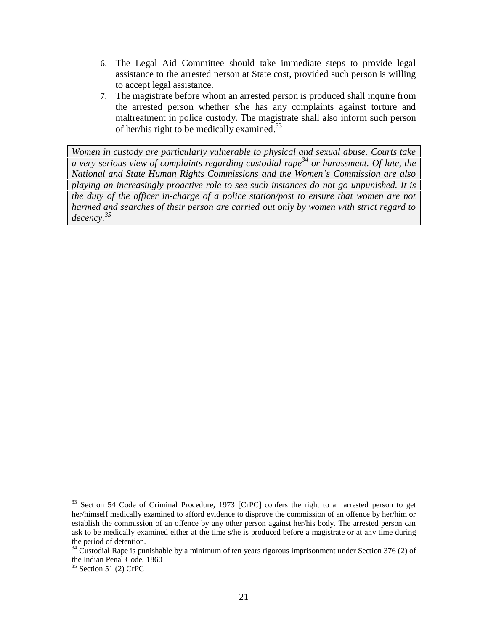- 6. The Legal Aid Committee should take immediate steps to provide legal assistance to the arrested person at State cost, provided such person is willing to accept legal assistance.
- 7. The magistrate before whom an arrested person is produced shall inquire from the arrested person whether s/he has any complaints against torture and maltreatment in police custody. The magistrate shall also inform such person of her/his right to be medically examined.<sup>33</sup>

*Women in custody are particularly vulnerable to physical and sexual abuse. Courts take a very serious view of complaints regarding custodial rape 34 or harassment. Of late, the National and State Human Rights Commissions and the Womenís Commission are also playing an increasingly proactive role to see such instances do not go unpunished. It is the duty of the of icer in-charge of a police station/post to ensure that women are not harmed and searches of their person are carried out only by women with strict regard to decency.<sup>35</sup>*

<sup>&</sup>lt;sup>33</sup> Section 54 Code of Criminal Procedure, 1973 [CrPC] confers the right to an arrested person to get her/himself medically examined to afford evidence to disprove the commission of an offence by her/him or establish the commission of an offence by any other person against her/his body. The arrested person can ask to be medically examined either at the time s/he is produced before a magistrate or at any time during the period of detention.

<sup>&</sup>lt;sup>34</sup> Custodial Rape is punishable by a minimum of ten years rigorous imprisonment under Section 376 (2) of the Indian Penal Code, 1860

 $35$  Section 51 (2) CrPC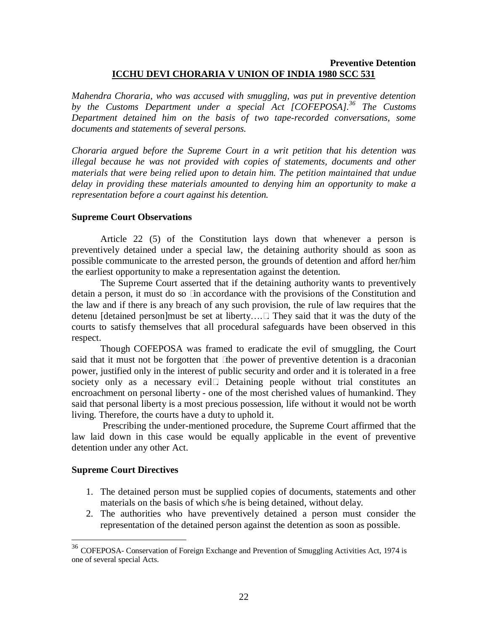## **Preventive Detention ICCHU DEVI CHORARIA V UNION OF INDIA 1980 SCC 531**

*Mahendra Choraria, who was accused with smuggling, was put in preventive detention by the Customs Department under a special Act [COFEPOSA].<sup>36</sup> The Customs Department detained him on the basis of two tape-recorded conversations, some documents and statements of several persons.*

*Choraria argued before the Supreme Court in a writ petition that his detention was illegal because he was not provided with copies of statements, documents and other materials that were being relied upon to detain him. The petition maintained that undue delay in providing these materials amounted to denying him an opportunity to make a representation before a court against his detention.*

#### **Supreme Court Observations**

Article 22 (5) of the Constitution lays down that whenever a person is preventively detained under a special law, the detaining authority should as soon as possible communicate to the arrested person, the grounds of detention and afford her/him the earliest opportunity to make a representation against the detention.

The Supreme Court asserted that if the detaining authority wants to preventively detain a person, it must do so ìin accordance with the provisions of the Constitution and the law and if there is any breach of any such provision, the rule of law requires that the detenu [detained person]must be set at liberty $\ldots$ î. They said that it was the duty of the courts to satisfy themselves that all procedural safeguards have been observed in this respect.<br>Though COFEPOSA was framed to eradicate the evil of smuggling, the Court

said that it must not be forgotten that ìthe power of preventive detention is a draconian power, justified only in the interest of public security and order and it is tolerated in a free society only as a necessary evilî. Detaining people without trial constitutes an encroachment on personal liberty - one of the most cherished values of humankind. They said that personal liberty is a most precious possession, life without it would not be worth living. Therefore, the courts have a duty to uphold it.

Prescribing the under-mentioned procedure, the Supreme Court affirmed that the law laid down in this case would be equally applicable in the event of preventive detention under any other Act.

#### **Supreme Court Directives**

- 1. The detained person must be supplied copies of documents, statements and other materials on the basis of which s/he is being detained, without delay.
- 2. The authorities who have preventively detained a person must consider the representation of the detained person against the detention as soon as possible.

<sup>36</sup> COFEPOSA- Conservation of Foreign Exchange and Prevention of Smuggling Activities Act, 1974 is one of several special Acts.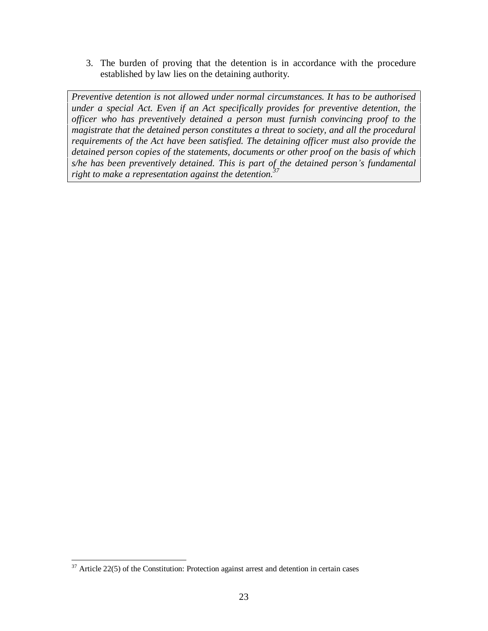3. The burden of proving that the detention is in accordance with the procedure established by law lies on the detaining authority.

*Preventive detention is not allowed under normal circumstances. It has to be authorised under a special Act. Even if an Act specifically provides for preventive detention, the of icer who has preventively detained a person must furnish convincing proof to the magistrate that the detained person constitutes a threat to society, and all the procedural requirements of the Act have been satisfied. The detaining of icer must also provide the detained person copies of the statements, documents or other proof on the basis of which s/he has been preventively detained. This is part of the detained personís fundamental right to make a representation against the detention.<sup>37</sup>*

 $37$  Article 22(5) of the Constitution: Protection against arrest and detention in certain cases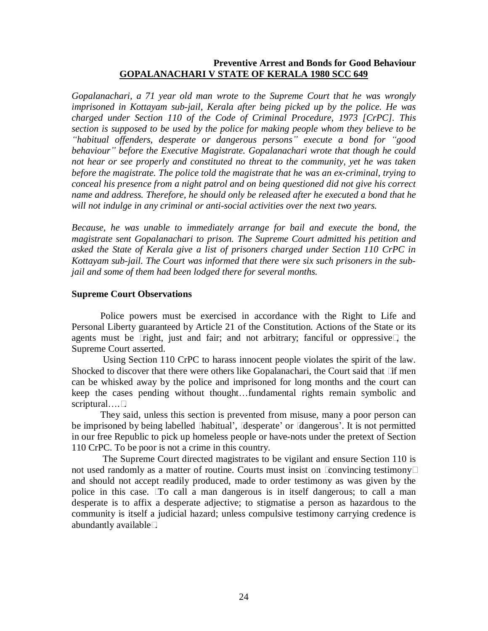## **Preventive Arrest and Bonds for Good Behaviour GOPALANACHARI V STATE OF KERALA 1980 SCC 649**

*Gopalanachari, a 71 year old man wrote to the Supreme Court that he was wrongly imprisoned in Kottayam sub-jail, Kerala after being picked up by the police. He was charged under Section 110 of the Code of Criminal Procedure, 1973 [CrPC]. This section is supposed to be used by the police for making people whom they believe to be ìhabitual of enders, desperate or dangerous personsî execute a bond for ìgood behaviourî before the Executive Magistrate. Gopalanachari wrote that though he could not hear or see properly and constituted no threat to the community, yet he was taken before the magistrate. The police told the magistrate that he was an ex-criminal, trying to conceal his presence from a night patrol and on being questioned did not give his correct name and address. Therefore, he should only be released after he executed a bond that he will not indulge in any criminal or anti-social activities over the next two years.*

*Because, he was unable to immediately arrange for bail and execute the bond, the magistrate sent Gopalanachari to prison. The Supreme Court admitted his petition and asked the State of Kerala give a list of prisoners charged under Section 110 CrPC in Kottayam sub-jail. The Court was informed that there were six such prisoners in the subjail and some of them had been lodged there for several months.*

## **Supreme Court Observations**

Police powers must be exercised in accordance with the Right to Life and Personal Liberty guaranteed by Article 21 of the Constitution. Actions of the State or its agents must be ìright, just and fair; and not arbitrary; fanciful or oppressiveî, the Supreme Court asserted.

Using Section 110 CrPC to harass innocent people violates the spirit of the law. Shocked to discover that there were others like Gopalanachari, the Court said that  $\overline{\phantom{a}}$  if men can be whisked away by the police and imprisoned for long months and the court can keep the cases pending without thought...fundamental rights remain symbolic and  $s$ criptural $\dots$ î.

They said, unless this section is prevented from misuse, many a poor person can be imprisoned by being labelled **ë**habitual', **ë**desperate' or **ë**dangerous'. It is not permitted in our free Republic to pick up homeless people or have-nots under the pretext of Section 110 CrPC. To be poor is not a crime in this country.

The Supreme Court directed magistrates to be vigilant and ensure Section 110 is not used randomly as a matter of routine. Courts must insist on ìconvincing testimonyî and should not accept readily produced, made to order testimony as was given by the police in this case. ìTo call a man dangerous is in itself dangerous; to call a man desperate is to affix a desperate adjective; to stigmatise a person as hazardous to the community is itself a judicial hazard; unless compulsive testimony carrying credence is abundantly availableî.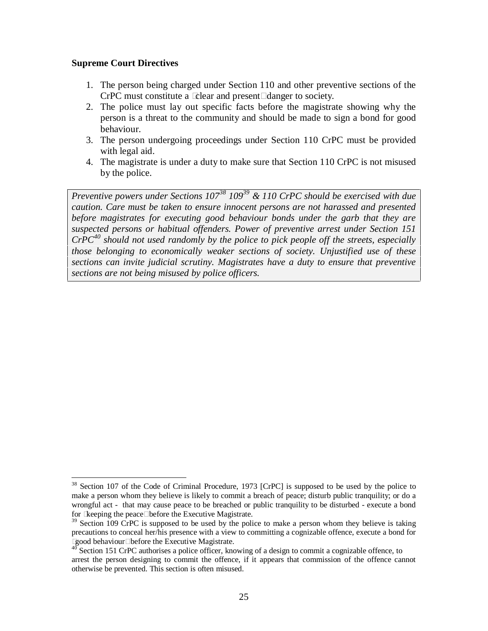#### **Supreme Court Directives**

- 1. The person being charged under Section 110 and other preventive sections of the CrPC must constitute a *i* clear and presenti danger to society.
- 2. The police must lay out specific facts before the magistrate showing why the person is a threat to the community and should be made to sign a bond for good behaviour.
- 3. The person undergoing proceedings under Section 110 CrPC must be provided with legal aid.
- 4. The magistrate is under a duty to make sure that Section 110 CrPC is not misused by the police.

*Preventive powers under Sections 107 <sup>38</sup> 109 <sup>39</sup> & 110 CrPC should be exercised with due caution. Care must be taken to ensure innocent persons are not harassed and presented before magistrates for executing good behaviour bonds under the garb that they are suspected persons or habitual of enders. Power of preventive arrest under Section 151 CrPC 40 should not used randomly by the police to pick people off the streets, especially those belonging to economically weaker sections of society. Unjustified use of these sections can invite judicial scrutiny. Magistrates have a duty to ensure that preventive sections are not being misused by police of icers.*

<sup>&</sup>lt;sup>38</sup> Section 107 of the Code of Criminal Procedure, 1973 [CrPC] is supposed to be used by the police to make a person whom they believe is likely to commit a breach of peace; disturb public tranquility; or do a wrongful act - that may cause peace to be breached or public tranquility to be disturbed - execute a bond for ì keeping the peaceî before the Executive Magistrate.<br><sup>39</sup> Section 109 CrPC is supposed to be used by the police to make a person whom they believe is taking

precautions to conceal her/his presence with a view to committing a cognizable offence, execute a bond for i good behaviour tbefore the Executive Magistrate.

<sup>&</sup>lt;sup>40</sup> Section 151 CrPC authorises a police officer, knowing of a design to commit a cognizable offence, to arrest the person designing to commit the offence, if it appears that commission of the offence cannot otherwise be prevented. This section is often misused.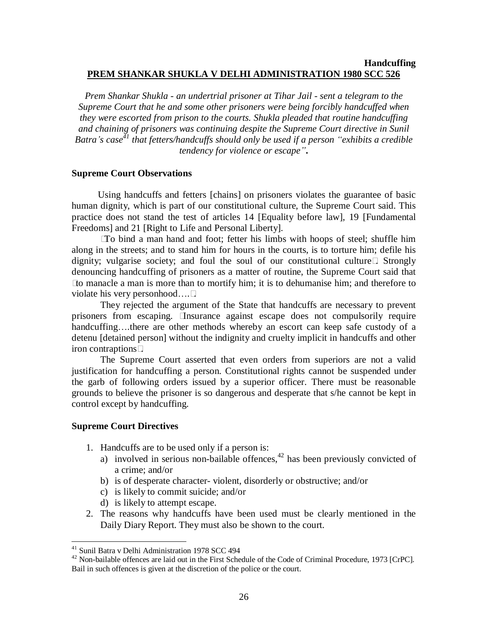#### **Handcuffing PREM SHANKAR SHUKLA V DELHI ADMINISTRATION 1980 SCC 526**

*Prem Shankar Shukla - an undertrial prisoner at Tihar Jail - sent a telegram to the Supreme Court that he and some other prisoners were being forcibly handcuffed when they* were escorted from prison to the courts. Shukla pleaded that routine handcuffing *and chaining of prisoners was continuing despite the Supreme Court directive in Sunil Batraís case 41 that fetters/handcuf s should only be used if a person ìexhibits a credible tendency for violence or escapeî***.**

#### **Supreme Court Observations**

Using handcuffs and fetters [chains] on prisoners violates the guarantee of basic human dignity, which is part of our constitutional culture, the Supreme Court said. This practice does not stand the test of articles 14 [Equality before law], 19 [Fundamental Freedoms] and 21 [Right to Life and Personal Liberty].

ìTo bind a man hand and foot; fetter his limbs with hoops of steel; shuffle him along in the streets; and to stand him for hours in the courts, is to torture him; defile his dignity; vulgarise society; and foul the soul of our constitutional cultureî. Strongly denouncing handcuffing of prisoners as a matter of routine, the Supreme Court said that ìto manacle a man is more than to mortify him; it is to dehumanise him; and therefore to violate his very personhood... $\hat{\mathbf{i}}$ .

They rejected the argument of the State that handcuffs are necessary to prevent prisoners from escaping. ìInsurance against escape does not compulsorily require handcuffing....there are other methods whereby an escort can keep safe custody of a detenu [detained person] without the indignity and cruelty implicit in handcuffs and other iron contraptionsî.

The Supreme Court asserted that even orders from superiors are not a valid justification for handcuffing a person. Constitutional rights cannot be suspended under the garb of following orders issued by a superior officer. There must be reasonable grounds to believe the prisoner is so dangerous and desperate that s/he cannot be kept in control except by handcuffing.

#### **Supreme Court Directives**

- 1. Handcuffs are to be used only if a person is:
	- a) involved in serious non-bailable offences, $42$  has been previously convicted of a crime; and/or
	- b) is of desperate character- violent, disorderly or obstructive; and/or
	- c) is likely to commit suicide; and/or
	- d) is likely to attempt escape.
- 2. The reasons why handcuffs have been used must be clearly mentioned in the Daily Diary Report. They must also be shown to the court.

<sup>41</sup> Sunil Batra v Delhi Administration 1978 SCC 494

<sup>&</sup>lt;sup>42</sup> Non-bailable offences are laid out in the First Schedule of the Code of Criminal Procedure, 1973 [CrPC]. Bail in such offences is given at the discretion of the police or the court.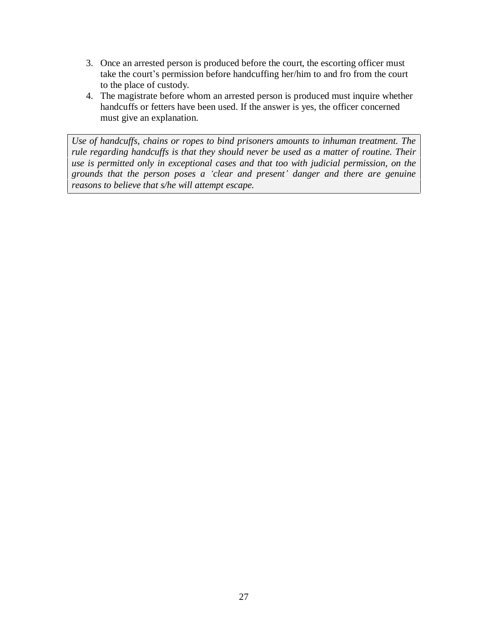- 3. Once an arrested person is produced before the court, the escorting officer must take the court's permission before handcuffing her/him to and fro from the court to the place of custody.
- 4. The magistrate before whom an arrested person is produced must inquire whether handcuffs or fetters have been used. If the answer is yes, the officer concerned must give an explanation.

*Use of handcuf s, chains or ropes to bind prisoners amounts to inhuman treatment. The rule regarding handcuffs is that they should never be used as a matter of routine. Their use is permitted only in exceptional cases and that too with judicial permission, on the grounds that the person poses a ëclear and presentí danger and there are genuine reasons to believe that s/he will attempt escape.*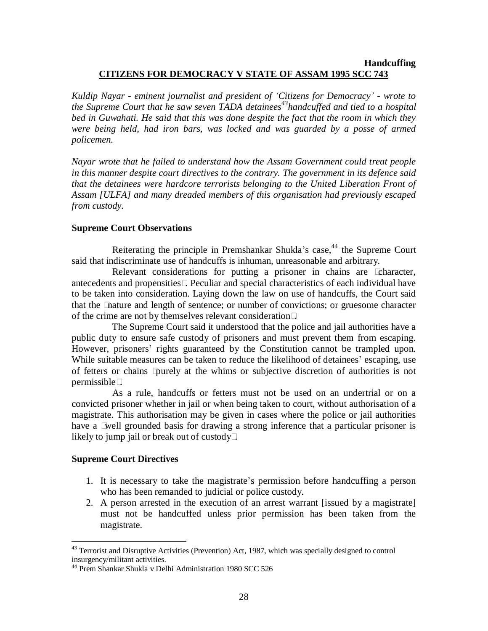## **Handcuffing CITIZENS FOR DEMOCRACY V STATE OF ASSAM 1995 SCC 743**

*Kuldip Nayar - eminent journalist and president of ëCitizens for Democracyí - wrote to the Supreme Court that he saw seven TADA detainees <sup>43</sup>handcuf ed and tied to a hospital bed in Guwahati. He said that this was done despite the fact that the room in which they were being held, had iron bars, was locked and was guarded by a posse of armed policemen.*

*Nayar wrote that he failed to understand how the Assam Government could treat people in this manner despite court directives to the contrary. The government in its defence said that the detainees were hardcore terrorists belonging to the United Liberation Front of Assam [ULFA] and many dreaded members of this organisation had previously escaped from custody.*

## **Supreme Court Observations**

Reiterating the principle in Premshankar Shukla's case,<sup>44</sup> the Supreme Court said that indiscriminate use of handcuffs is inhuman, unreasonable and arbitrary.

Relevant considerations for putting a prisoner in chains are ìcharacter, antecedents and propensitiesî. Peculiar and special characteristics of each individual have to be taken into consideration. Laying down the law on use of handcuffs, the Court said that the ìnature and length of sentence; or number of convictions; or gruesome character of the crime are not by themselves relevant considerationî.

The Supreme Court said it understood that the police and jail authorities have a public duty to ensure safe custody of prisoners and must prevent them from escaping. However, prisoners' rights guaranteed by the Constitution cannot be trampled upon. While suitable measures can be taken to reduce the likelihood of detainees' escaping, use of fetters or chains ìpurely at the whims or subjective discretion of authorities is not permissibleî.

As a rule, handcuffs or fetters must not be used on an undertrial or on a convicted prisoner whether in jail or when being taken to court, without authorisation of a magistrate. This authorisation may be given in cases where the police or jail authorities have a ìwell grounded basis for drawing a strong inference that a particular prisoner is likely to jump jail or break out of custodyî.

## **Supreme Court Directives**

- 1. It is necessary to take the magistrateís permission before handcuffing a person who has been remanded to judicial or police custody.
- 2. A person arrested in the execution of an arrest warrant [issued by a magistrate] must not be handcuffed unless prior permission has been taken from the magistrate.

 $43$  Terrorist and Disruptive Activities (Prevention) Act, 1987, which was specially designed to control insurgency/militant activities.<br><sup>44</sup> Prem Shankar Shukla v Delhi Administration 1980 SCC 526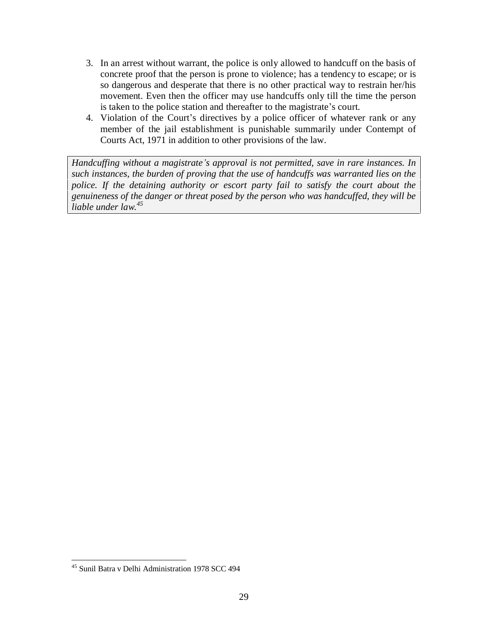- 3. In an arrest without warrant, the police is only allowed to handcuff on the basis of concrete proof that the person is prone to violence; has a tendency to escape; or is so dangerous and desperate that there is no other practical way to restrain her/his movement. Even then the officer may use handcuffs only till the time the person is taken to the police station and thereafter to the magistrate's court.
- 4. Violation of the Court's directives by a police officer of whatever rank or any member of the jail establishment is punishable summarily under Contempt of Courts Act, 1971 in addition to other provisions of the law.

*Handcuf ing without a magistrateís approval is not permitted, save in rare instances. In such instances, the burden of proving that the use of handcuf s was warranted lies on the police. If the detaining authority or escort party fail to satisfy the court about the genuineness of the danger or threat posed by the person who was handcuffed, they will be liable under law.<sup>45</sup>*

<sup>45</sup> Sunil Batra v Delhi Administration 1978 SCC 494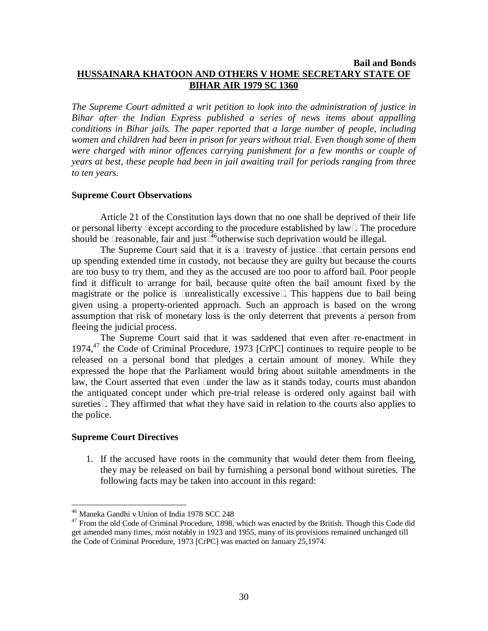#### **Bail and Bonds HUSSAINARA KHATOON AND OTHERS V HOME SECRETARY STATE OF BIHAR AIR 1979 SC 1360**

*The Supreme Court admitted a writ petition to look into the administration of justice in Bihar after the Indian Express published a series of news items about appalling conditions in Bihar jails. The paper reported that a large number of people, including women and children had been in prison for years without trial. Even though some of them were charged with minor offences carrying punishment for a few months or couple of years at best, these people had been in jail awaiting trail for periods ranging from three to ten years.*

#### **Supreme Court Observations**

Article 21 of the Constitution lays down that no one shall be deprived of their life or personal liberty ìexcept according to the procedure established by lawî. The procedure should be i reasonable, fair and justi<sup>46</sup>otherwise such deprivation would be illegal.

The Supreme Court said that it is a *i* travesty of justice<sup>†</sup> that certain persons end up spending extended time in custody, not because they are guilty but because the courts are too busy to try them, and they as the accused are too poor to afford bail. Poor people find it difficult to arrange for bail, because quite often the bail amount fixed by the magistrate or the police is ìunrealistically excessiveî. This happens due to bail being given using a property-oriented approach. Such an approach is based on the wrong assumption that risk of monetary loss is the only deterrent that prevents a person from fleeing the judicial process.

The Supreme Court said that it was saddened that even after re-enactment in 1974,<sup>47</sup> the Code of Criminal Procedure, 1973 [CrPC] continues to require people to be released on a personal bond that pledges a certain amount of money. While they expressed the hope that the Parliament would bring about suitable amendments in the law, the Court asserted that even *i*under the law as it stands today, courts must abandon the antiquated concept under which pre-trial release is ordered only against bail with suretiesî. They affirmed that what they have said in relation to the courts also applies to the police.

#### **Supreme Court Directives**

1. If the accused have roots in the community that would deter them from fleeing, they may be released on bail by furnishing a personal bond without sureties. The following facts may be taken into account in this regard:

<sup>46</sup> Maneka Gandhi v Union of India 1978 SCC 248

<sup>&</sup>lt;sup>47</sup> From the old Code of Criminal Procedure, 1898, which was enacted by the British. Though this Code did get amended many times, most notably in 1923 and 1955, many of its provisions remained unchanged till the Code of Criminal Procedure, 1973 [CrPC] was enacted on January 25,1974.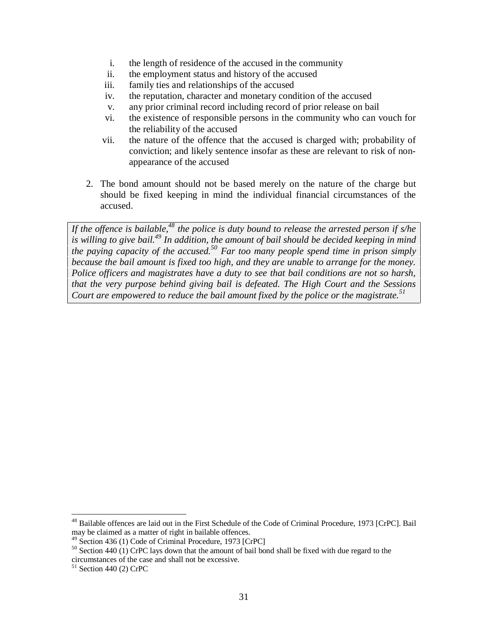- i. the length of residence of the accused in the community
- ii. the employment status and history of the accused
- iii. family ties and relationships of the accused
- iv. the reputation, character and monetary condition of the accused
- v. any prior criminal record including record of prior release on bail
- vi. the existence of responsible persons in the community who can vouch for the reliability of the accused
- vii. the nature of the offence that the accused is charged with; probability of conviction; and likely sentence insofar as these are relevant to risk of non appearance of the accused
- 2. The bond amount should not be based merely on the nature of the charge but should be fixed keeping in mind the individual financial circumstances of the accused.

If the offence is bailable,<sup>48</sup> the police is duty bound to release the arrested person if s/he *is willing to give bail.<sup>49</sup> In addition, the amount of bail should be decided keeping in mind the paying capacity of the accused.<sup>50</sup> Far too many people spend time in prison simply because the bail amount is fixed too high, and they are unable to arrange for the money. Police of icers and magistrates have a duty to see that bail conditions are not so harsh, that the very purpose behind giving bail is defeated. The High Court and the Sessions Court are empowered to reduce the bail amount fixed by the police or the magistrate.<sup>51</sup>*

 $^{48}$  Bailable offences are laid out in the First Schedule of the Code of Criminal Procedure, 1973 [CrPC]. Bail may be claimed as a matter of right in bailable offences.

 $\frac{49}{9}$  Section 436 (1) Code of Criminal Procedure, 1973 [CrPC]

 $50$  Section 440 (1) CrPC lays down that the amount of bail bond shall be fixed with due regard to the circumstances of the case and shall not be excessive. <sup>51</sup> Section <sup>440</sup> (2) CrPC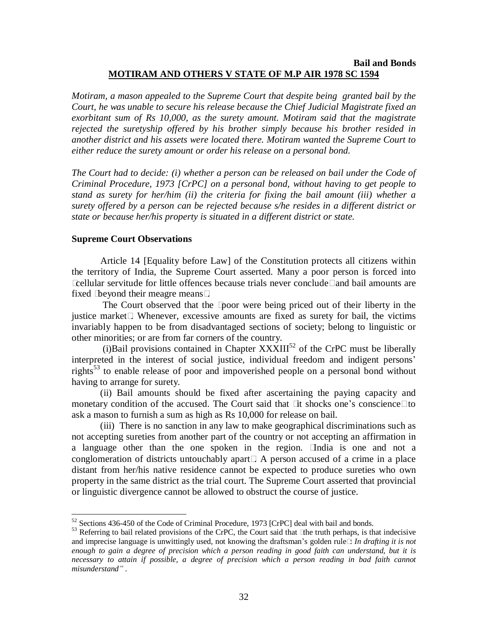#### **Bail and Bonds MOTIRAM AND OTHERS V STATE OF M.P AIR 1978 SC 1594**

*Motiram, a mason appealed to the Supreme Court that despite being granted bail by the Court, he was unable to secure his release because the Chief Judicial Magistrate fixed an exorbitant sum of Rs 10,000, as the surety amount. Motiram said that the magistrate rejected the suretyship offered by his brother simply because his brother resided in another district and his assets were located there. Motiram wanted the Supreme Court to either reduce the surety amount or order his release on a personal bond.*

*The Court had to decide: (i) whether a person can be released on bail under the Code of Criminal Procedure, 1973 [CrPC] on a personal bond, without having to get people to stand as surety for her/him (ii) the criteria for fixing the bail amount (iii) whether a surety offered by a person can be rejected because s/he resides in a dif erent district or state or because her/his property is situated in a dif erent district or state.*

#### **Supreme Court Observations**

Article 14 [Equality before Law] of the Constitution protects all citizens within the territory of India, the Supreme Court asserted. Many a poor person is forced into i cellular servitude for little offences because trials never conclude i and bail amounts are fixed ìbeyond their meagre meansî.

The Court observed that the ìpoor were being priced out of their liberty in the justice marketî. Whenever, excessive amounts are fixed as surety for bail, the victims invariably happen to be from disadvantaged sections of society; belong to linguistic or other minorities; or are from farcorners of the country.

(i) Bail provisions contained in Chapter  $\frac{XXX}{I}$  of the CrPC must be liberally interpreted in the interest of social justice, individual freedom and indigent persons' rights 53 to enable release of poor and impoverished people on a personal bond without having to arrange for surety.

(ii) Bail amounts should be fixed after ascertaining the paying capacity and monetary condition of the accused. The Court said that it shocks one's conscience to ask a mason to furnish a sum as high as Rs 10,000 for release on bail.

(iii) There is no sanction in any law to make geographical discriminations such as not accepting sureties from another part of the country or not accepting an affirmation in a language other than the one spoken in the region. ìIndia is one and not a conglomeration of districts untouchably apartî. A person accused of a crime in a place distant from her/his native residence cannot be expected to produce sureties who own property in the same district as the trial court. The Supreme Court asserted that provincial or linguistic divergence cannot be allowed to obstruct the course of justice.

 $52$  Sections 436-450 of the Code of Criminal Procedure, 1973 [CrPC] deal with bail and bonds.<br> $53$  Referring to bail related provisions of the CrPC, the Court said that ìthe truth perhaps, is that indecisive and imprecise language is unwittingly used, not knowing the draftsman's golden rulei: *In drafting it is not* enough to gain a degree of precision which a person reading in good faith can understand, but it is *necessary to attain if possible, a degree of precision which a person reading in bad faith cannot misunderstandî* .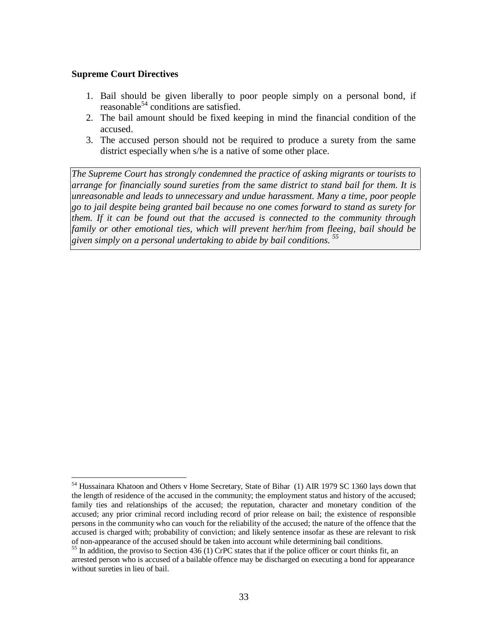#### **Supreme Court Directives**

- 1. Bail should be given liberally to poor people simply on a personal bond, if reasonable 54 conditions are satisfied.
- 2. The bail amount should be fixed keeping in mind the financial condition of the accused.
- 3. The accused person should not be required to produce a surety from the same district especially when s/he is a native of some other place.

*The Supreme Court has strongly condemned the practice of asking migrants or tourists to arrange for financially sound sureties from the same district to stand bail for them. It is unreasonable and leads to unnecessary and undue harassment. Many a time, poor people go to jail despite being granted bail because no one comes forward to stand as surety for them. If it can be found out that the accused is connected to the community through family or other emotional ties, which will prevent her/him from fleeing, bail should be given simply on a personal undertaking to abide by bail conditions. <sup>55</sup>*

<sup>54</sup> Hussainara Khatoon and Others v Home Secretary, State of Bihar (1) AIR 1979 SC 1360 lays down that the length of residence of the accused in the community; the employment status and history of the accused; family ties and relationships of the accused; the reputation, character and monetary condition of the accused; any prior criminal record including record of prior release on bail; the existence of responsible persons in the community who can vouch for the reliability of the accused; the nature of the offence that the accused is charged with; probability of conviction; and likely sentence insofar as these are relevant to risk<br>of non-appearance of the accused should be taken into account while determining bail conditions.

<sup>&</sup>lt;sup>55</sup> In addition, the proviso to Section 436 (1) CrPC states that if the police officer or court thinks fit, an arrested person who is accused of a bailable offence may be discharged on executing a bond for appearance without sureties in lieu of bail.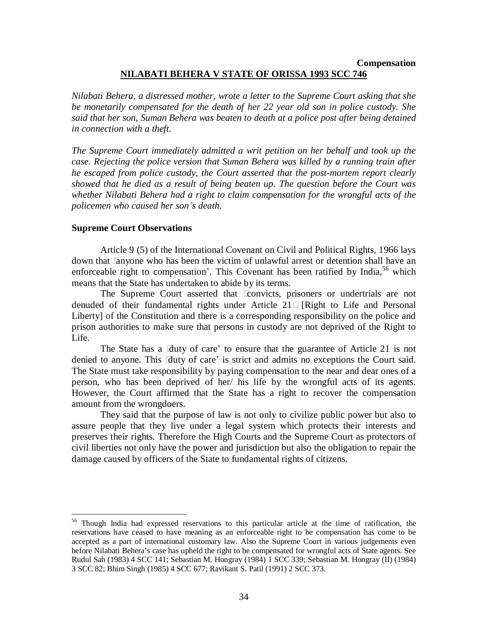## **Compensation NILABATI BEHERA V STATE OF ORISSA 1993 SCC 746**

*Nilabati Behera, a distressed mother, wrote a letter to the Supreme Court asking that she be monetarily compensated for the death of her 22 year old son in police custody. She said that her son, Suman Behera was beaten to death at a police post after being detained in connection with a theft.*

*The Supreme Court immediately admitted a writ petition on her behalf and took up the case. Rejecting the police version that Suman Behera was killed by a running train after he escaped from police custody, the Court asserted that the post-mortem report clearly showed that he died as a result of being beaten up. The question before the Court was whether Nilabati Behera had a right to claim compensation for the wrongful acts of the policemen who caused her sonís death.*

#### **Supreme Court Observations**

Article 9 (5) of the International Covenant on Civil and Political Rights, 1966 lays down that ëanyone who has been the victim of unlawful arrest or detention shall have an enforceable right to compensation'. This Covenant has been ratified by India,<sup>56</sup> which means that the State has undertaken to abide by its terms.

The Supreme Court asserted that ìconvicts, prisoners or undertrials are not denuded of their fundamental rights under Article 21î [Right to Life and Personal Liberty] of the Constitution and there is a corresponding responsibility on the police and prison authorities to make sure that persons in custody are not deprived of the Right to Life.

The State has a  $\ddot{a}$ luty of care' to ensure that the guarantee of Article 21 is not denied to anyone. This  $\ddot{a}$ duty of care' is strict and admits no exceptions the Court said. The State must take responsibility by paying compensation to the near and dear ones of a person, who has been deprived of her/ his life by the wrongful acts of its agents. However, the Court affirmed that the State has a right to recover the compensation amount from the wrongdoers.

They said that the purpose of law is not only to civilize public power but also to assure people that they live under a legal system which protects their interests and preserves their rights. Therefore the High Courts and the Supreme Court as protectors of civil liberties not only have the power and jurisdiction but also the obligation to repair the damage caused by officers of the State to fundamental rights of citizens.

<sup>56</sup> Though India had expressed reservations to this particular article at the time of ratification, the reservations have ceased to have meaning as an enforceable right to be compensation has come to be accepted as a part of international customary law. Also the Supreme Court in various judgements even before Nilabati Beheraís case has upheld the right to be compensated for wrongful acts of State agents. See Rudul Sah (1983) 4 SCC 141; Sebastian M. Hongray (1984) 1 SCC 339; Sebastian M. Hongray (II) (1984) 3 SCC 82; Bhim Singh (1985) 4 SCC 677; Ravikant S. Patil (1991) 2 SCC 373.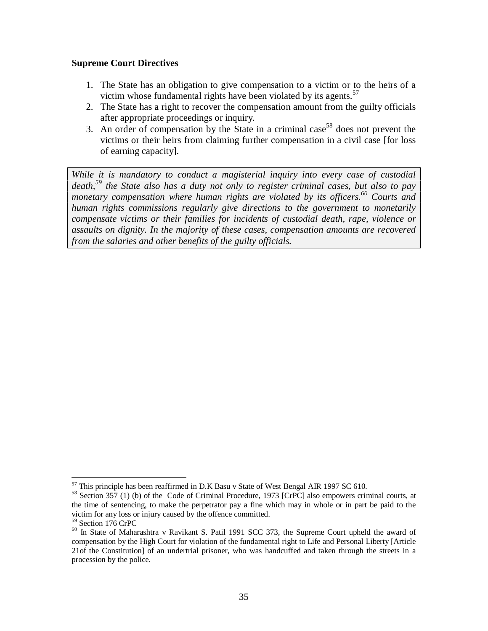## **Supreme Court Directives**

- 1. The State has an obligation to give compensation to a victim or to the heirs of a victim whose fundamental rights have been violated by its agents.<sup>57</sup>
- 2. The State has a right to recover the compensation amount from the guilty officials after appropriate proceedings or inquiry.
- 3. An order of compensation by the State in a criminal case <sup>58</sup> does not prevent the victims or their heirs from claiming further compensation in a civil case [for loss of earning capacity].

*While it is mandatory to conduct a magisterial inquiry into every case of custodial death,<sup>59</sup> the State also has a duty not only to register criminal cases, but also to pay monetary compensation where human rights are violated by its of icers.<sup>60</sup> Courts and human rights commissions regularly give directions to the government to monetarily compensate victims or their families for incidents of custodial death, rape, violence or assaults on dignity. In the majority of these cases, compensation amounts are recovered from the salaries and other benefits of the guilty of icials.*

<sup>&</sup>lt;sup>57</sup> This principle has been reaffirmed in D.K Basu v State of West Bengal AIR 1997 SC 610.<br><sup>58</sup> Section 357 (1) (b) of the Code of Criminal Procedure, 1973 [CrPC] also empowers criminal courts, at the time of sentencing, to make the perpetrator pay a fine which may in whole or in part be paid to the victim forany loss or injury caused by the offence committed. <sup>59</sup> Section <sup>176</sup> CrPC

<sup>&</sup>lt;sup>60</sup> In State of Maharashtra v Ravikant S. Patil 1991 SCC 373, the Supreme Court upheld the award of compensation by the High Court for violation of the fundamental right to Life and Personal Liberty [Article 21of the Constitution] of an undertrial prisoner, who was handcuffed and taken through the streets in a procession by the police.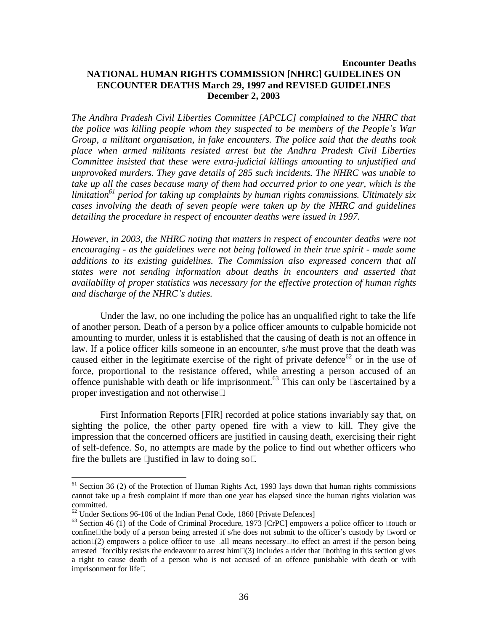## **Encounter Deaths NATIONAL HUMAN RIGHTS COMMISSION [NHRC] GUIDELINES ON ENCOUNTER DEATHS March 29, 1997 and REVISED GUIDELINES December 2, 2003**

*The Andhra Pradesh Civil Liberties Committee [APCLC] complained to the NHRC that the police was killing people whom they suspected to be members of the Peopleís War Group, a militant organisation, in fake encounters. The police said that the deaths took place when armed militants resisted arrest but the Andhra Pradesh Civil Liberties Committee insisted that these were extra-judicial killings amounting to unjustified and unprovoked murders. They gave details of 285 such incidents. The NHRC was unable to take up all the cases because many of them had occurred prior to one year, which is the limitation 61 period for taking up complaints by human rights commissions. Ultimately six cases involving the death of seven people were taken up by the NHRC and guidelines detailing the procedure in respect of encounter deaths were issued in 1997.*

*However, in 2003, the NHRC noting that matters in respect of encounter deaths were not encouraging - as the guidelines were not being followed in their true spirit - made some additions to its existing guidelines. The Commission also expressed concern that all states were not sending information about deaths in encounters and asserted that availability of proper statistics was necessary for the ef ective protection of human rights and discharge of the NHRCís duties.*

Under the law, no one including the police has an unqualified right to take the life of another person. Death of a person by a police officer amounts to culpable homicide not amounting to murder, unless it is established that the causing of death is not an offence in law. If a police officer kills someone in an encounter, s/he must prove that the death was caused either in the legitimate exercise of the right of private defence<sup>62</sup> or in the use of force, proportional to the resistance offered, while arresting a person accused of an offence punishable with death or life imprisonment.<sup>63</sup> This can only be lascertained by a proper investigation and not otherwiseî.

First Information Reports [FIR] recorded at police stations invariably say that, on sighting the police, the other party opened fire with a view to kill. They give the impression that the concerned officers are justified in causing death, exercising their right of self-defence. So, no attempts are made by the police to find out whether officers who fire the bullets are  $\lambda$  justified in law to doing sof.

<sup>&</sup>lt;sup>61</sup> Section 36 (2) of the Protection of Human Rights Act, 1993 lays down that human rights commissions cannot take up a fresh complaint if more than one year has elapsed since the human rights violation was committed.<br> $62$  Under Sections 96-106 of the Indian Penal Code, 1860 [Private Defences]

<sup>63</sup> Section 46 (1) of the Code of Criminal Procedure, 1973 [CrPC] empowers a police officer to ìtouch or confineî the body of a person being arrested if s/he does not submit to the officer's custody by *i* word or actionî(2) empowers a police officer to use i all means necessaryî to effect an arrest if the person being arrested ìforcibly resists the endeavour to arrest himî(3) includes a rider that ìnothing in this section gives a right to cause death of a person who is not accused of an offence punishable with death or with imprisonment for lifeî.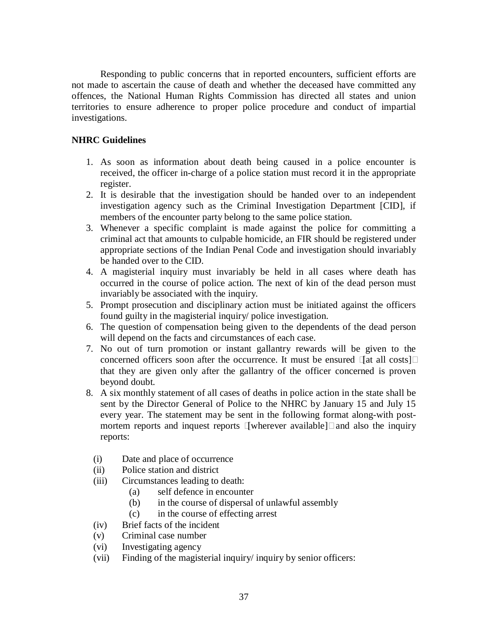Responding to public concerns that in reported encounters, sufficient efforts are not made to ascertain the cause of death and whether the deceased have committed any offences, the National Human Rights Commission has directed all states and union territories to ensure adherence to proper police procedure and conduct of impartial investigations.

## **NHRC Guidelines**

- 1. As soon as information about death being caused in a police encounter is received, the officer in-charge of a police station must record it in the appropriate register.
- 2. It is desirable that the investigation should be handed over to an independent investigation agency such as the Criminal Investigation Department [CID], if members of the encounter party belong to the same police station.
- 3. Whenever a specific complaint is made against the police for committing a criminal act that amounts to culpable homicide, an FIR should be registered under appropriate sections of the Indian Penal Code and investigation should invariably be handed over to the CID.
- 4. A magisterial inquiry must invariably be held in all cases where death has occurred in the course of police action. The next of kin of the dead person must invariably be associated with the inquiry.
- 5. Prompt prosecution and disciplinary action must be initiated against the officers found guilty in the magisterial inquiry/ police investigation.
- 6. The question of compensation being given to the dependents of the dead person will depend on the facts and circumstances of each case.
- 7. No out of turn promotion or instant gallantry rewards will be given to the concerned officers soon after the occurrence. It must be ensured ì[at all costs]î that they are given only after the gallantry of the officer concerned is proven beyond doubt.
- 8. A six monthly statement of all cases of deaths in police action in the state shall be sent by the Director General of Police to the NHRC by January 15 and July 15 every year. The statement may be sent in the following format along-with post mortem reports and inquest reports  $\iota$ [wherever available] $\iota$  and also the inquiry reports:
	- (i) Date and place of occurrence
	- (ii) Police station and district
	- (iii) Circumstances leading to death:
		- (a) self defence in encounter
		- (b) in the course of dispersal of unlawful assembly
		- (c) in the course of effecting arrest
	- (iv) Brief facts of the incident
	- (v) Criminal case number
	- (vi) Investigating agency
	- (vii) Finding of the magisterial inquiry/ inquiry by senior officers: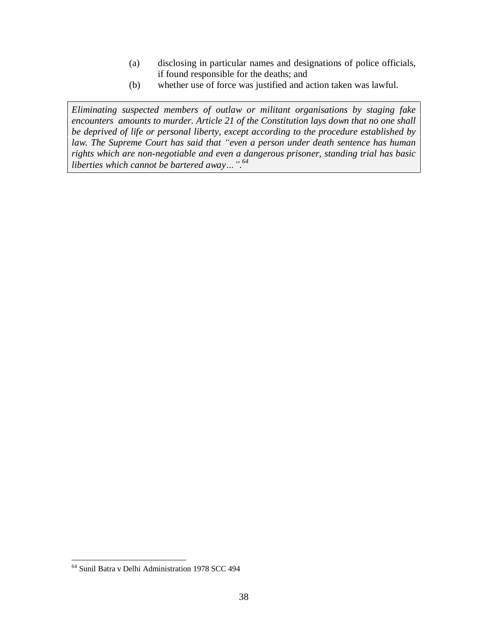- (a) disclosing in particular names and designations of police officials, if found responsible for the deaths; and
- (b) whether use of force was justified and action taken was lawful.

*Eliminating suspected members of outlaw or militant organisations by staging fake encounters amounts to murder. Article 21 of the Constitution lays down that no one shall be deprived of life or personal liberty, except according to the procedure established by law. The Supreme Court has said that ìeven a person under death sentence has human rights which are non-negotiable and even a dangerous prisoner, standing trial has basic liberties* which cannot be bartered away...".<sup>64</sup>

<sup>64</sup> Sunil Batra v Delhi Administration 1978 SCC 494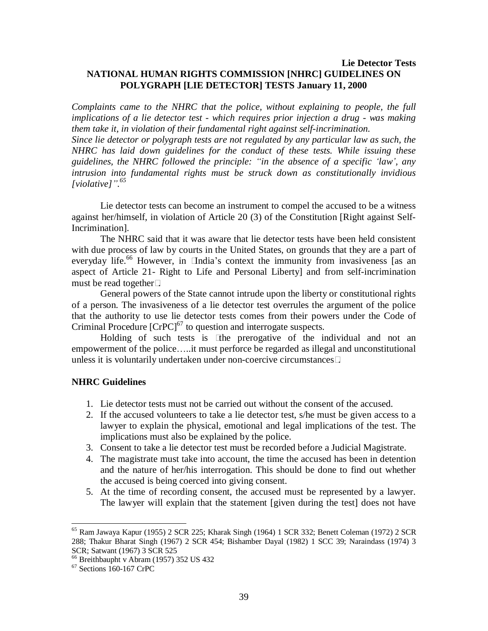## **Lie Detector Tests NATIONAL HUMAN RIGHTS COMMISSION [NHRC] GUIDELINES ON POLYGRAPH [LIE DETECTOR] TESTS January 11, 2000**

*Complaints came to the NHRC that the police, without explaining to people, the full implications of a lie detector test - which requires prior injection a drug - was making them take it, in violation of their fundamental right against self-incrimination.*

*Since lie detector or polygraph tests are not regulated by any particular law as such, the NHRC has laid down guidelines for the conduct of these tests. While issuing these guidelines, the NHRC followed the principle: ìin the absence of a specific ëlawí, any intrusion into fundamental rights must be struck down as constitutionally invidious [violative]î.<sup>65</sup>*

Lie detector tests can become an instrument to compel the accused to be a witness against her/himself, in violation of Article 20 (3) of the Constitution [Right against Self-Incrimination].

The NHRC said that it was aware that lie detector tests have been held consistent with due process of law by courts in the United States, on grounds that they are a part of everyday life.<sup>66</sup> However, in ìIndia's context the immunity from invasiveness [as an aspect of Article 21- Right to Life and Personal Liberty] and from self-incrimination must be read togetherî.

General powers of the State cannot intrude upon the liberty or constitutional rights of a person. The invasiveness of a lie detector test overrules the argument of the police that the authority to use lie detector tests comes from their powers under the Code of Criminal Procedure [CrPC] 67 to question and interrogate suspects.

Holding of such tests is ìthe prerogative of the individual and not an empowerment of the police.....it must perforce be regarded as illegal and unconstitutional unless it is voluntarily undertaken under non-coercive circumstancesî.

#### **NHRC Guidelines**

- 1. Lie detector tests must not be carried out without the consent of the accused.
- 2. If the accused volunteers to take a lie detector test, s/he must be given access to a lawyer to explain the physical, emotional and legal implications of the test. The implications must also be explained by the police.
- 3. Consent to take a lie detector test must be recorded before a Judicial Magistrate.
- 4. The magistrate must take into account, the time the accused has been in detention and the nature of her/his interrogation. This should be done to find out whether the accused is being coerced into giving consent.
- 5. At the time of recording consent, the accused must be represented by a lawyer. The lawyer will explain that the statement [given during the test] does not have

<sup>65</sup> Ram Jawaya Kapur (1955) 2 SCR 225; Kharak Singh (1964) 1 SCR 332; Benett Coleman (1972) 2 SCR 288; Thakur Bharat Singh (1967) 2 SCR 454; Bishamber Dayal (1982) 1 SCC 39; Naraindass (1974) 3 SCR; Satwant (1967) 3 SCR 525

<sup>66</sup> Breithbaupht v Abram (1957) 352 US 432

 $67$  Sections 160-167 CrPC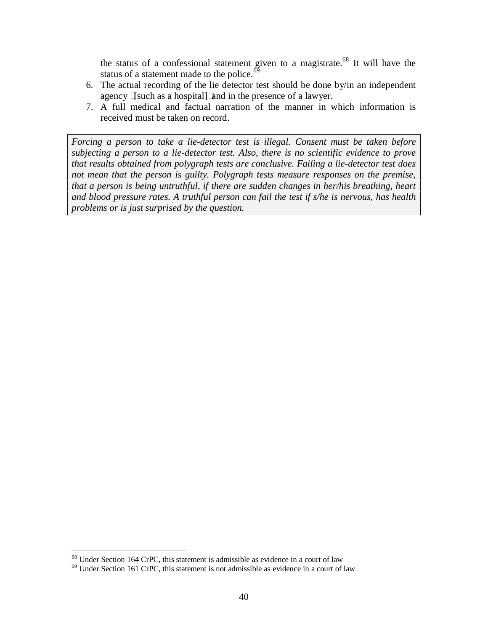the status of a confessional statement given to a magistrate.<sup>68</sup> It will have the status of a statement made to the police.<sup>69</sup>

- 6. The actual recording of the lie detector test should be done by/in an independent agency ì[such as a hospital]îand in the presence of a lawyer.
- 7. A full medical and factual narration of the manner in which information is received must be taken on record.

*Forcing a person to take a lie-detector test is illegal. Consent must be taken before subjecting a person to a lie-detector test. Also, there is no scientific evidence to prove that results obtained from polygraph tests are conclusive. Failing a lie-detector test does not mean that the person is guilty. Polygraph tests measure responses on the premise, that a person is being untruthful, if there are sudden changes in her/his breathing, heart and blood pressure rates. A truthful person can fail the test if s/he is nervous, has health problems or is just surprised by the question.*

<sup>68</sup> Under Section 164 CrPC, this statement is admissible as evidence in a court of law

 $69$  Under Section 161 CrPC, this statement is not admissible as evidence in a court of law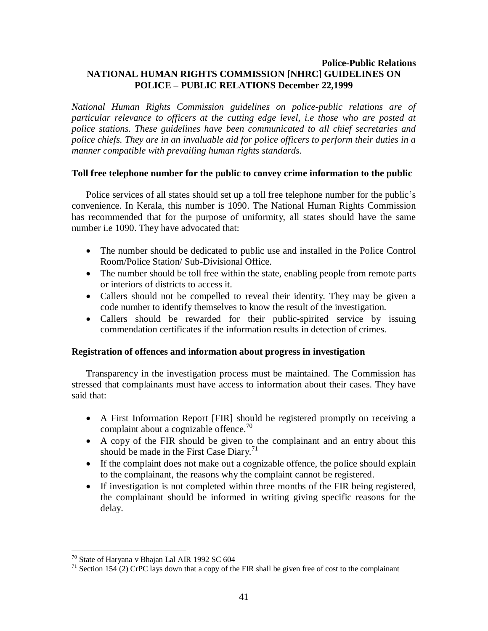## **Police-Public Relations NATIONAL HUMAN RIGHTS COMMISSION [NHRC] GUIDELINES ON POLICE ñ PUBLIC RELATIONS December 22,1999**

*National Human Rights Commission guidelines on police-public relations are of particular relevance to officers at the cutting edge level, i.e those who are posted at police stations. These guidelines have been communicated to all chief secretaries and police chiefs. They are in an invaluable aid for police of icers to perform their duties in a manner compatible with prevailing human rights standards.*

## **Toll free telephone number for the public to convey crime information to the public**

Police services of all states should set up a toll free telephone number for the public's convenience. In Kerala, this number is 1090. The National Human Rights Commission has recommended that for the purpose of uniformity, all states should have the same number i.e 1090. They have advocated that:

- The number should be dedicated to public use and installed in the Police Control Room/Police Station/ Sub-Divisional Office.
- The number should be toll free within the state, enabling people from remote parts or interiors of districts to access it.
- Callers should not be compelled to reveal their identity. They may be given a code number to identify themselves to know the result of the investigation.
- Callers should be rewarded for their public-spirited service by issuing commendation certificates if the information results in detection of crimes.

#### **Registration of offences and information about progress in investigation**

Transparency in the investigation process must be maintained. The Commission has stressed that complainants must have access to information about their cases. They have said that:

- A First Information Report [FIR] should be registered promptly on receiving a complaint about a cognizable offence.<sup>70</sup>
- A copy of the FIR should be given to the complainant and an entry about this should be made in the First Case Diary.<sup>71</sup>
- If the complaint does not make out a cognizable offence, the police should explain to the complainant, the reasons why the complaint cannot be registered.
- If investigation is not completed within three months of the FIR being registered, the complainant should be informed in writing giving specific reasons for the delay.

<sup>70</sup> State of Haryana v Bhajan Lal AIR 1992 SC 604

 $71$  Section 154 (2) CrPC lays down that a copy of the FIR shall be given free of cost to the complainant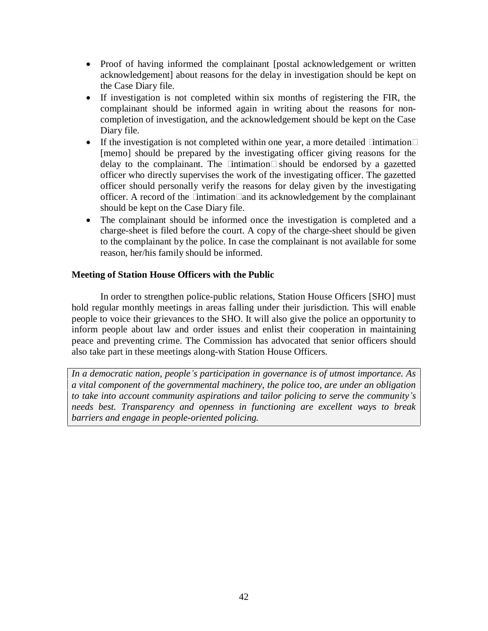- Proof of having informed the complainant [postal acknowledgement or written acknowledgement] about reasons for the delay in investigation should be kept on the Case Diary file.
- If investigation is not completed within six months of registering the FIR, the complainant should be informed again in writing about the reasons for non completion of investigation, and the acknowledgement should be kept on the Case Diary file.
- If the investigation is not completed within one year, a more detailed  $\tilde{i}$  intimation $\tilde{i}$ [memo] should be prepared by the investigating officer giving reasons for the delay to the complainant. The intimation is should be endorsed by a gazetted officer who directly supervises the work of the investigating officer. The gazetted officer should personally verify the reasons for delay given by the investigating officer. A record of the *i* intimation<sup> $\hat{i}$ </sup> and its acknowledgement by the complainant should be kept on the Case Diary file.
- The complainant should be informed once the investigation is completed and a charge-sheet is filed before the court. A copy of the charge-sheet should be given to the complainant by the police. In case the complainant is not available for some reason, her/his family should be informed.

## **Meeting of Station House Officers with the Public**

In order to strengthen police-public relations, Station House Officers [SHO] must hold regular monthly meetings in areas falling under their jurisdiction. This will enable people to voice their grievances to the SHO. It will also give the police an opportunity to inform people about law and order issues and enlist their cooperation in maintaining peace and preventing crime. The Commission has advocated that senior officers should also take part in these meetings along-with Station House Officers.

*In a democratic nation, peopleís participation in governance is of utmost importance. As a vital component of the governmental machinery, the police too, are under an obligation to take into account community aspirations and tailor policing to serve the communityís needs best. Transparency and openness in functioning are excellent ways to break barriers and engage in people-oriented policing.*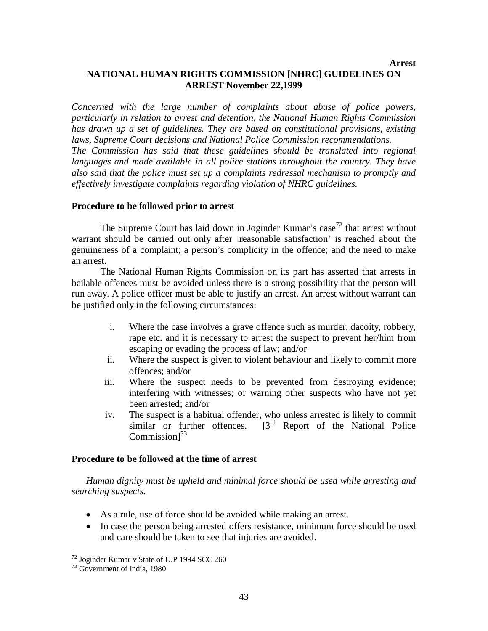## **Arrest NATIONAL HUMAN RIGHTS COMMISSION [NHRC] GUIDELINES ON ARREST November 22,1999**

*Concerned with the large number of complaints about abuse of police powers, particularly in relation to arrest and detention, the National Human Rights Commission has drawn up a set of guidelines. They are based on constitutional provisions, existing laws, Supreme Court decisions and National Police Commission recommendations. The Commission has said that these guidelines should be translated into regional languages and made available in all police stations throughout the country. They have also said that the police must set up a complaints redressal mechanism to promptly and ef ectively investigate complaints regarding violation of NHRC guidelines.*

#### **Procedure to be followed prior to arrest**

The Supreme Court has laid down in Joginder Kumar's case<sup>72</sup> that arrest without warrant should be carried out only after  $\ddot{\mathbf{e}}$  easonable satisfaction' is reached about the genuineness of a complaint; a person's complicity in the offence; and the need to make an arrest.<br>The National Human Rights Commission on its part has asserted that arrests in

bailable offences must be avoided unless there is a strong possibility that the person will run away. A police officer must be able to justify an arrest. An arrest without warrant can be justified only in the following circumstances:

- i. Where the case involves a grave offence such as murder, dacoity, robbery, rape etc. and it is necessary to arrest the suspect to prevent her/him from escaping or evading the process of law; and/or
- ii. Where the suspect is given to violent behaviour and likely to commit more offences; and/or
- iii. Where the suspect needs to be prevented from destroying evidence; interfering with witnesses; or warning other suspects who have not yet been arrested; and/or
- iv. The suspect is a habitual offender, who unless arrested is likely to commit similar or further offences.  $[3^{rd}$  Report of the National Police Commission]<sup>73</sup>

#### **Procedure to be followed at the time of arrest**

*Human dignity must be upheld and minimal force should be used while arresting and searching suspects.*

- As a rule, use of force should be avoided while making an arrest.
- In case the person being arrested offers resistance, minimum force should be used and care should be taken to see that injuries are avoided.

<sup>72</sup> Joginder Kumar v State of U.P 1994 SCC 260

<sup>73</sup> Government of India, 1980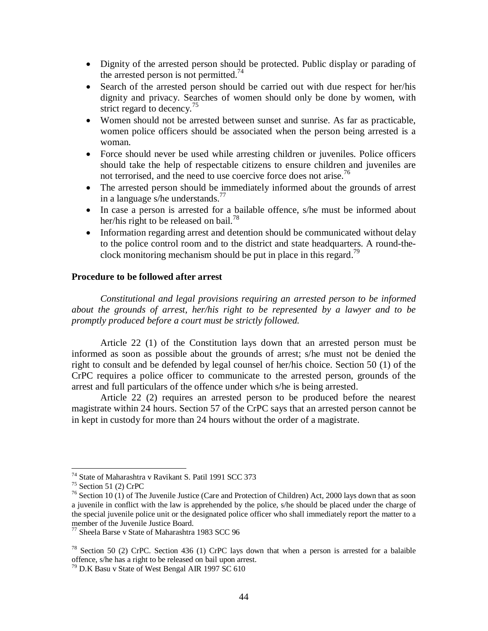- Dignity of the arrested person should be protected. Public display or parading of the arrested person is not permitted.<sup>74</sup>
- Search of the arrested person should be carried out with due respect for her/his dignity and privacy. Searches of women should only be done by women, with strict regard to decency.<sup>75</sup>
- Women should not be arrested between sunset and sunrise. As far as practicable, women police officers should be associated when the person being arrested is a woman.
- Force should never be used while arresting children or juveniles. Police officers should take the help of respectable citizens to ensure children and juveniles are not terrorised, and the need to use coercive force does not arise.<sup>76</sup>
- The arrested person should be immediately informed about the grounds of arrest in a language s/he understands.<sup>77</sup>
- In case a person is arrested for a bailable offence, s/he must be informed about her/his right to be released on bail.<sup>78</sup>
- Information regarding arrest and detention should be communicated without delay to the police control room and to the district and state headquarters. A round-the clock monitoring mechanism should be put in place in this regard.<sup>79</sup>

## **Procedure to be followed after arrest**

*Constitutional and legal provisions requiring an arrested person to be informed about the grounds of arrest, her/his right to be represented by a lawyer and to be promptly produced before a court must be strictly followed.*

Article 22 (1) of the Constitution lays down that an arrested person must be informed as soon as possible about the grounds of arrest; s/he must not be denied the right to consult and be defended by legal counsel of her/his choice. Section 50 (1) of the CrPC requires a police officer to communicate to the arrested person, grounds of the arrest and full particulars of the offence under which s/he is being arrested.

Article 22 (2) requires an arrested person to be produced before the nearest magistrate within 24 hours. Section 57 of the CrPC says that an arrested person cannot be in kept in custody for more than 24 hours without the order of a magistrate.

<sup>74</sup> State of Maharashtra v Ravikant S. Patil 1991 SCC 373

 $75$  Section 51 (2) CrPC

<sup>&</sup>lt;sup>76</sup> Section 10 (1) of The Juvenile Justice (Care and Protection of Children) Act, 2000 lays down that as soon a juvenile in conflict with the law is apprehended by the police, s/he should be placed under the charge of the special juvenile police unit or the designated police officer who shall immediately report the matter to a member of the Juvenile Justice Board.<br><sup>77</sup> Sheela Barse v State of Maharashtra 1983 SCC 96

<sup>&</sup>lt;sup>78</sup> Section 50 (2) CrPC. Section 436 (1) CrPC lays down that when a person is arrested for a balaible offence, s/he has a right to be released on bail upon arrest.<br><sup>79</sup> D.K Basu v State of West Bengal AIR 1997 SC 610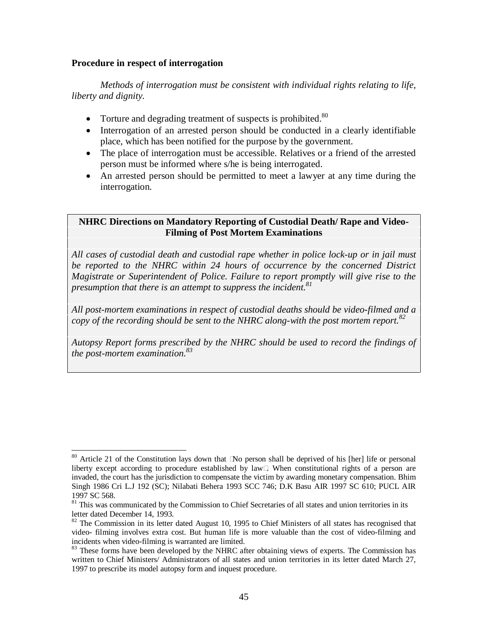#### **Procedure in respect of interrogation**

*Methods of interrogation must be consistent with individual rights relating to life, liberty and dignity.*

- $\bullet$  Torture and degrading treatment of suspects is prohibited.<sup>80</sup>
- Interrogation of an arrested person should be conducted in a clearly identifiable place, which has been notified for the purpose by the government.
- The place of interrogation must be accessible. Relatives or a friend of the arrested person must be informed where s/he is being interrogated.
- An arrested person should be permitted to meet a lawyer at any time during the interrogation.

## **NHRC Directions on Mandatory Reporting of Custodial Death/ Rape and Video- Filming of Post Mortem Examinations**

*All cases of custodial death and custodial rape whether in police lock-up or in jail must be reported to the NHRC within 24 hours of occurrence by the concerned District Magistrate or Superintendent of Police. Failure to report promptly will give rise to the presumption that there is an attempt to suppress the incident.<sup>81</sup>*

*All post-mortem examinations in respect of custodial deaths should be video-filmed and a copy of the recording should be sent to the NHRC along-with the post mortem report.<sup>82</sup>*

*Autopsy Report forms prescribed by the NHRC should be used to record the findings of the post-mortem examination.<sup>83</sup>*

 $80$  Article 21 of the Constitution lays down that iNo person shall be deprived of his [her] life or personal liberty except according to procedure established by lawî. When constitutional rights of a person are invaded, the court has the jurisdiction to compensate the victim by awarding monetary compensation. Bhim Singh 1986 Cri L.J 192 (SC); Nilabati Behera 1993 SCC 746; D.K Basu AIR 1997 SC 610; PUCL AIR

<sup>1997</sup> SC 568. <sup>81</sup> This was communicated by the Commission to Chief Secretaries of all states and union territories in its letter dated December 14, 1993.

 $\frac{82}{10}$  The Commission in its letter dated August 10, 1995 to Chief Ministers of all states has recognised that video- filming involves extra cost. But human life is more valuable than the cost of video-filming and

 $83$  These forms have been developed by the NHRC after obtaining views of experts. The Commission has written to Chief Ministers/ Administrators of all states and union territories in its letter dated March 27, 1997 to prescribe its model autopsy form and inquest procedure.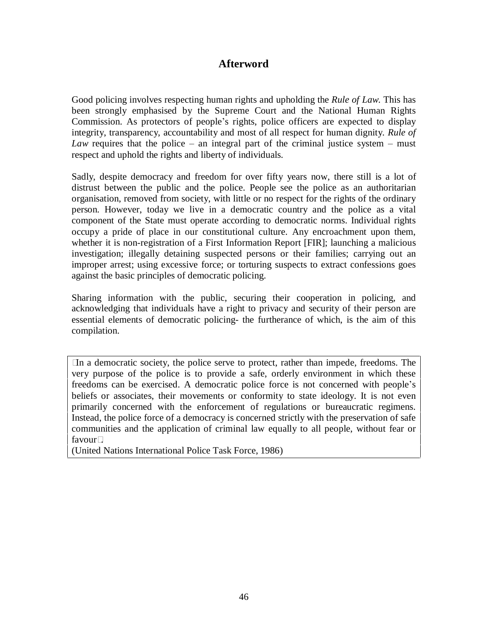## **Afterword**

Good policing involves respecting human rights and upholding the *Rule of Law*. This has been strongly emphasised by the Supreme Court and the National Human Rights Commission. As protectors of people's rights, police officers are expected to display integrity, transparency, accountability and most of all respect for human dignity. *Rule of Law* requires that the police – an integral part of the criminal justice system – must respect and uphold the rights and liberty of individuals.

Sadly, despite democracy and freedom for over fifty years now, there still is a lot of distrust between the public and the police. People see the police as an authoritarian organisation, removed from society, with little or no respect for the rights of the ordinary person. However, today we live in a democratic country and the police as a vital component of the State must operate according to democratic norms. Individual rights occupy a pride of place in our constitutional culture. Any encroachment upon them, whether it is non-registration of a First Information Report [FIR]; launching a malicious investigation; illegally detaining suspected persons or their families; carrying out an improper arrest; using excessive force; or torturing suspects to extract confessions goes against the basic principles of democratic policing.

Sharing information with the public, securing their cooperation in policing, and acknowledging that individuals have a right to privacy and security of their person are essential elements of democratic policing- the furtherance of which, is the aim of this compilation.

In a democratic society, the police serve to protect, rather than impede, freedoms. The very purpose of the police is to provide a safe, orderly environment in which these freedoms can be exercised. A democratic police force is not concerned with people's beliefs or associates, their movements or conformity to state ideology. It is not even primarily concerned with the enforcement of regulations or bureaucratic regimens. Instead, the police force of a democracy is concerned strictly with the preservation of safe communities and the application of criminal law equally to all people, without fear or favourî.

(United Nations International Police Task Force, 1986)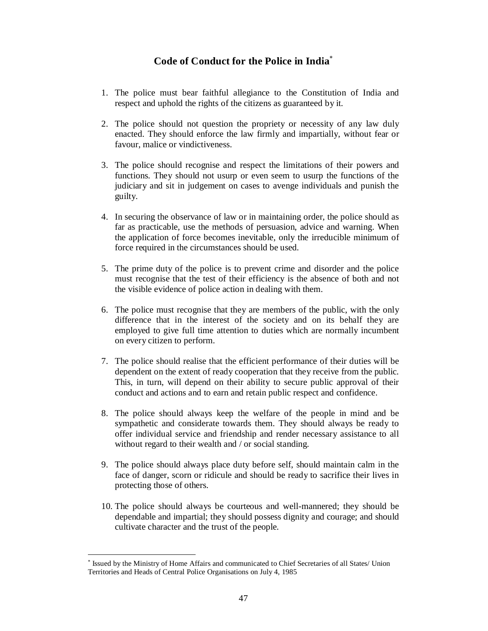# **Code of Conduct for the Police in India**

- 1. The police must bear faithful allegiance to the Constitution of India and respect and uphold the rights of the citizens as guaranteed by it.
- 2. The police should not question the propriety or necessity of any law duly enacted. They should enforce the law firmly and impartially, without fear or favour, malice or vindictiveness.
- 3. The police should recognise and respect the limitations of their powers and functions. They should not usurp or even seem to usurp the functions of the judiciary and sit in judgement on cases to avenge individuals and punish the guilty.
- 4. In securing the observance of law or in maintaining order, the police should as far as practicable, use the methods of persuasion, advice and warning. When the application of force becomes inevitable, only the irreducible minimum of force required in the circumstances should be used.
- 5. The prime duty of the police is to prevent crime and disorder and the police must recognise that the test of their efficiency is the absence of both and not the visible evidence of police action in dealing with them.
- 6. The police must recognise that they are members of the public, with the only difference that in the interest of the society and on its behalf they are employed to give full time attention to duties which are normally incumbent on every citizen to perform.
- 7. The police should realise that the efficient performance of their duties will be dependent on the extent of ready cooperation that they receive from the public. This, in turn, will depend on their ability to secure public approval of their conduct and actions and to earn and retain public respect and confidence.
- 8. The police should always keep the welfare of the people in mind and be sympathetic and considerate towards them. They should always be ready to offer individual service and friendship and render necessary assistance to all without regard to their wealth and / or social standing.
- 9. The police should always place duty before self, should maintain calm in the face of danger, scorn or ridicule and should be ready to sacrifice their lives in protecting those of others.
- 10. The police should always be courteous and well-mannered; they should be dependable and impartial; they should possess dignity and courage; and should cultivate character and the trust of the people.

Issued by the Ministry of Home Affairs and communicated to Chief Secretaries of all States/ Union Territories and Heads of Central Police Organisations on July 4, 1985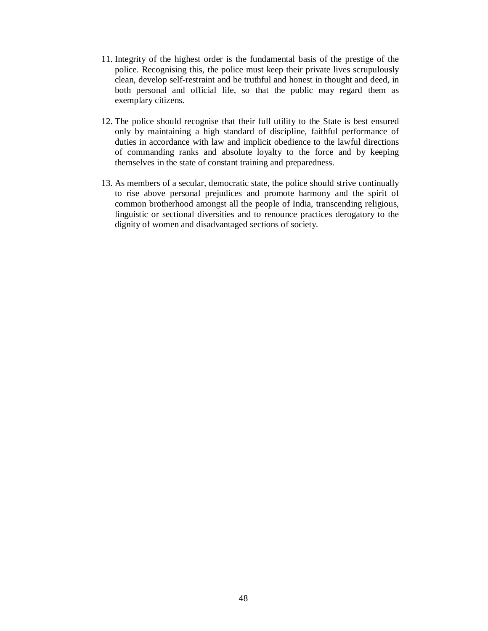- 11. Integrity of the highest order is the fundamental basis of the prestige of the police. Recognising this, the police must keep their private lives scrupulously clean, develop self-restraint and be truthful and honest in thought and deed, in both personal and official life, so that the public may regard them as exemplary citizens.
- 12. The police should recognise that their full utility to the State is best ensured only by maintaining a high standard of discipline, faithful performance of duties in accordance with law and implicit obedience to the lawful directions of commanding ranks and absolute loyalty to the force and by keeping themselves in the state of constant training and preparedness.
- 13. As members of a secular, democratic state, the police should strive continually to rise above personal prejudices and promote harmony and the spirit of common brotherhood amongst all the people of India, transcending religious, linguistic or sectional diversities and to renounce practices derogatory to the dignity of women and disadvantaged sections of society.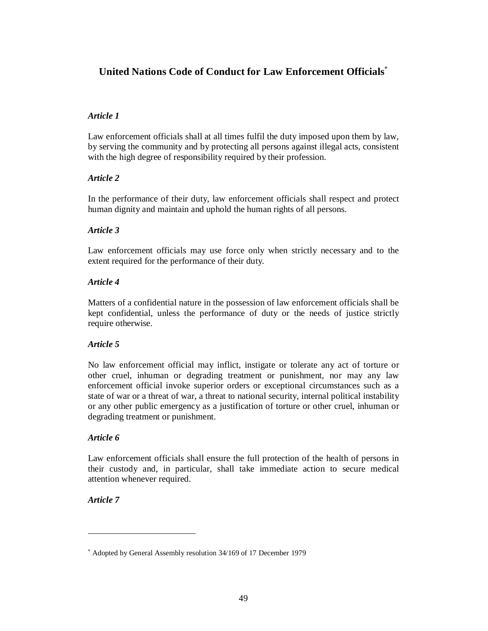# **United Nations Code of Conduct for Law Enforcement Officials**

## *Article 1*

Law enforcement officials shall at all times fulfil the duty imposed upon them by law, by serving the community and by protecting all persons against illegal acts, consistent with the high degree of responsibility required by their profession.

## *Article 2*

In the performance of their duty, law enforcement officials shall respect and protect human dignity and maintain and uphold the human rights of all persons.

## *Article 3*

Law enforcement officials may use force only when strictly necessary and to the extent required for the performance of their duty.

## *Article 4*

Matters of a confidential nature in the possession of law enforcement officials shall be kept confidential, unless the performance of duty or the needs of justice strictly require otherwise.

## *Article 5*

No law enforcement official may inflict, instigate or tolerate any act of torture or other cruel, inhuman or degrading treatment or punishment, nor may any law enforcement official invoke superior orders or exceptional circumstances such as a state of war or a threat of war, a threat to national security, internal political instability or any other public emergency as a justification of torture or other cruel, inhuman or degrading treatment or punishment.

## *Article 6*

Law enforcement officials shall ensure the full protection of the health of persons in their custody and, in particular, shall take immediate action to secure medical attention whenever required.

## *Article 7*

Adopted by General Assembly resolution 34/169 of 17 December 1979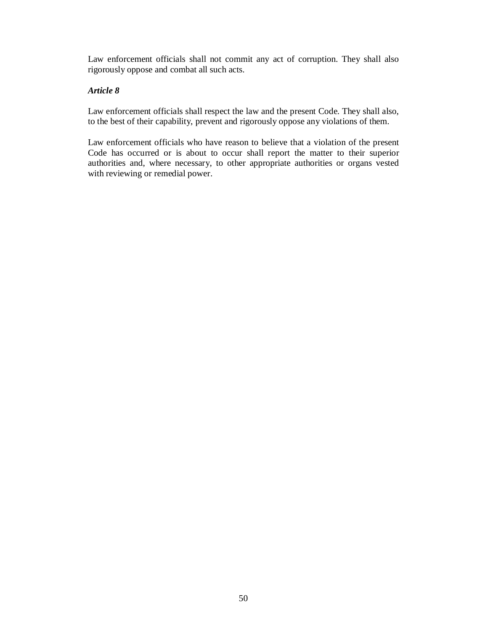Law enforcement officials shall not commit any act of corruption. They shall also rigorously oppose and combat all such acts.

#### *Article 8*

Law enforcement officials shall respect the law and the present Code. They shall also, to the best of their capability, prevent and rigorously oppose any violations of them.

Law enforcement officials who have reason to believe that a violation of the present Code has occurred or is about to occur shall report the matter to their superior authorities and, where necessary, to other appropriate authorities or organs vested with reviewing or remedial power.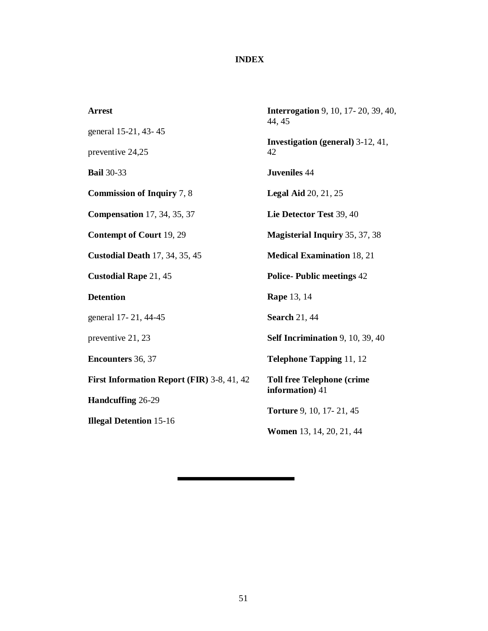# **INDEX**

| <b>Arrest</b>                              | <b>Interrogation</b> 9, 10, 17-20, 39, 40,<br>44, 45 |
|--------------------------------------------|------------------------------------------------------|
| general 15-21, 43-45                       |                                                      |
| preventive 24,25                           | <b>Investigation (general)</b> 3-12, 41,<br>42       |
| <b>Bail</b> 30-33                          | <b>Juveniles 44</b>                                  |
| <b>Commission of Inquiry 7, 8</b>          | <b>Legal Aid 20, 21, 25</b>                          |
| <b>Compensation</b> 17, 34, 35, 37         | Lie Detector Test 39, 40                             |
| <b>Contempt of Court 19, 29</b>            | <b>Magisterial Inquiry 35, 37, 38</b>                |
| <b>Custodial Death 17, 34, 35, 45</b>      | <b>Medical Examination 18, 21</b>                    |
| <b>Custodial Rape 21, 45</b>               | <b>Police-Public meetings 42</b>                     |
| <b>Detention</b>                           | <b>Rape</b> 13, 14                                   |
| general 17-21, 44-45                       | <b>Search 21, 44</b>                                 |
| preventive 21, 23                          | Self Incrimination 9, 10, 39, 40                     |
| <b>Encounters 36, 37</b>                   | <b>Telephone Tapping 11, 12</b>                      |
| First Information Report (FIR) 3-8, 41, 42 | <b>Toll free Telephone (crime</b><br>information) 41 |
| Handcuffing 26-29                          |                                                      |
| <b>Illegal Detention 15-16</b>             | Torture 9, 10, 17-21, 45                             |
|                                            | Women 13, 14, 20, 21, 44                             |